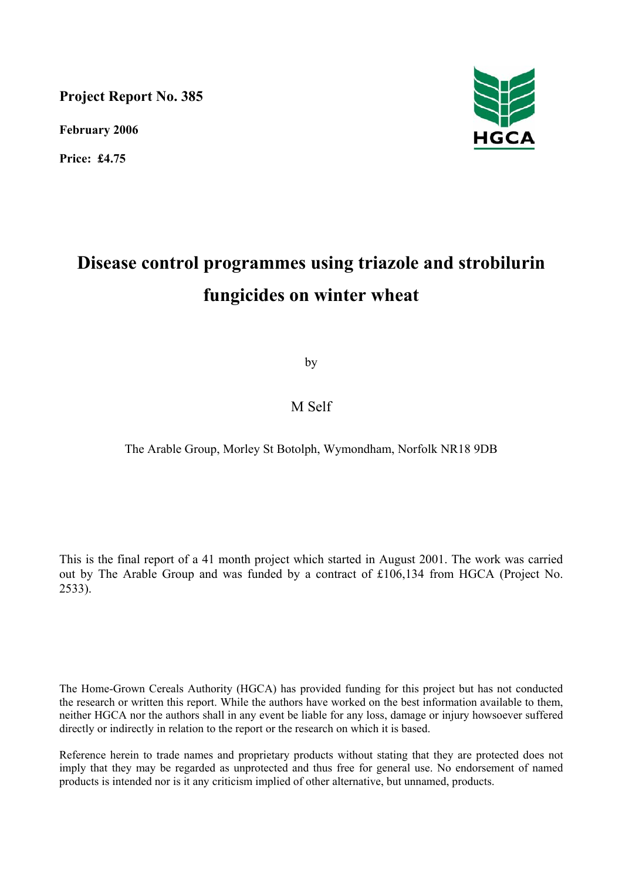**Project Report No. 385** 

**February 2006** 

**Price: £4.75** 



# **Disease control programmes using triazole and strobilurin fungicides on winter wheat**

by

## M Self

The Arable Group, Morley St Botolph, Wymondham, Norfolk NR18 9DB

This is the final report of a 41 month project which started in August 2001. The work was carried out by The Arable Group and was funded by a contract of £106,134 from HGCA (Project No. 2533).

The Home-Grown Cereals Authority (HGCA) has provided funding for this project but has not conducted the research or written this report. While the authors have worked on the best information available to them, neither HGCA nor the authors shall in any event be liable for any loss, damage or injury howsoever suffered directly or indirectly in relation to the report or the research on which it is based.

Reference herein to trade names and proprietary products without stating that they are protected does not imply that they may be regarded as unprotected and thus free for general use. No endorsement of named products is intended nor is it any criticism implied of other alternative, but unnamed, products.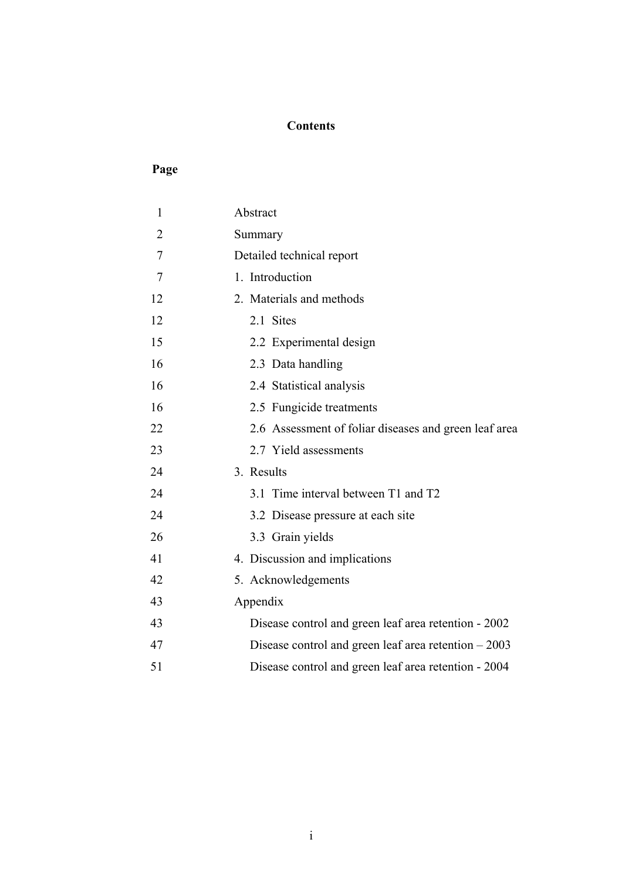## **Contents**

## **Page**

| $\mathbf{1}$   | Abstract                                              |
|----------------|-------------------------------------------------------|
| $\overline{2}$ | Summary                                               |
| 7              | Detailed technical report                             |
| 7              | 1. Introduction                                       |
| 12             | 2. Materials and methods                              |
| 12             | 2.1 Sites                                             |
| 15             | 2.2 Experimental design                               |
| 16             | 2.3 Data handling                                     |
| 16             | 2.4 Statistical analysis                              |
| 16             | 2.5 Fungicide treatments                              |
| 22             | 2.6 Assessment of foliar diseases and green leaf area |
| 23             | 2.7 Yield assessments                                 |
| 24             | 3. Results                                            |
| 24             | 3.1 Time interval between T1 and T2                   |
| 24             | 3.2 Disease pressure at each site                     |
| 26             | 3.3 Grain yields                                      |
| 41             | 4. Discussion and implications                        |
| 42             | 5. Acknowledgements                                   |
| 43             | Appendix                                              |
| 43             | Disease control and green leaf area retention - 2002  |
| 47             | Disease control and green leaf area retention $-2003$ |
| 51             | Disease control and green leaf area retention - 2004  |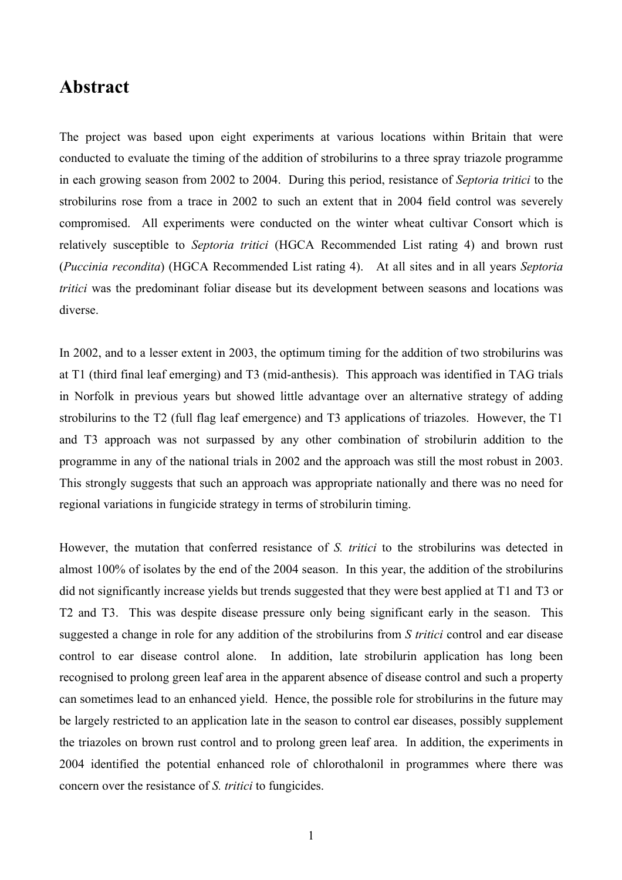## **Abstract**

The project was based upon eight experiments at various locations within Britain that were conducted to evaluate the timing of the addition of strobilurins to a three spray triazole programme in each growing season from 2002 to 2004. During this period, resistance of *Septoria tritici* to the strobilurins rose from a trace in 2002 to such an extent that in 2004 field control was severely compromised. All experiments were conducted on the winter wheat cultivar Consort which is relatively susceptible to *Septoria tritici* (HGCA Recommended List rating 4) and brown rust (*Puccinia recondita*) (HGCA Recommended List rating 4). At all sites and in all years *Septoria tritici* was the predominant foliar disease but its development between seasons and locations was diverse.

In 2002, and to a lesser extent in 2003, the optimum timing for the addition of two strobilurins was at T1 (third final leaf emerging) and T3 (mid-anthesis). This approach was identified in TAG trials in Norfolk in previous years but showed little advantage over an alternative strategy of adding strobilurins to the T2 (full flag leaf emergence) and T3 applications of triazoles. However, the T1 and T3 approach was not surpassed by any other combination of strobilurin addition to the programme in any of the national trials in 2002 and the approach was still the most robust in 2003. This strongly suggests that such an approach was appropriate nationally and there was no need for regional variations in fungicide strategy in terms of strobilurin timing.

However, the mutation that conferred resistance of *S. tritici* to the strobilurins was detected in almost 100% of isolates by the end of the 2004 season. In this year, the addition of the strobilurins did not significantly increase yields but trends suggested that they were best applied at T1 and T3 or T2 and T3. This was despite disease pressure only being significant early in the season. This suggested a change in role for any addition of the strobilurins from *S tritici* control and ear disease control to ear disease control alone. In addition, late strobilurin application has long been recognised to prolong green leaf area in the apparent absence of disease control and such a property can sometimes lead to an enhanced yield. Hence, the possible role for strobilurins in the future may be largely restricted to an application late in the season to control ear diseases, possibly supplement the triazoles on brown rust control and to prolong green leaf area. In addition, the experiments in 2004 identified the potential enhanced role of chlorothalonil in programmes where there was concern over the resistance of *S. tritici* to fungicides.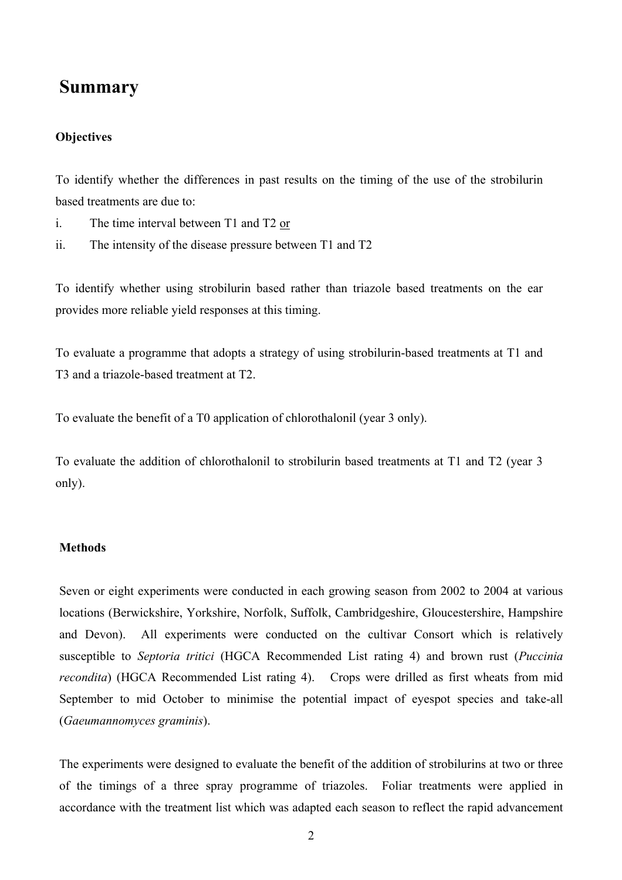# **Summary**

## **Objectives**

To identify whether the differences in past results on the timing of the use of the strobilurin based treatments are due to:

- i. The time interval between T1 and T2 or
- ii. The intensity of the disease pressure between T1 and T2

To identify whether using strobilurin based rather than triazole based treatments on the ear provides more reliable yield responses at this timing.

To evaluate a programme that adopts a strategy of using strobilurin-based treatments at T1 and T3 and a triazole-based treatment at T2.

To evaluate the benefit of a T0 application of chlorothalonil (year 3 only).

To evaluate the addition of chlorothalonil to strobilurin based treatments at T1 and T2 (year 3 only).

## **Methods**

Seven or eight experiments were conducted in each growing season from 2002 to 2004 at various locations (Berwickshire, Yorkshire, Norfolk, Suffolk, Cambridgeshire, Gloucestershire, Hampshire and Devon). All experiments were conducted on the cultivar Consort which is relatively susceptible to *Septoria tritici* (HGCA Recommended List rating 4) and brown rust (*Puccinia recondita*) (HGCA Recommended List rating 4). Crops were drilled as first wheats from mid September to mid October to minimise the potential impact of eyespot species and take-all (*Gaeumannomyces graminis*).

The experiments were designed to evaluate the benefit of the addition of strobilurins at two or three of the timings of a three spray programme of triazoles. Foliar treatments were applied in accordance with the treatment list which was adapted each season to reflect the rapid advancement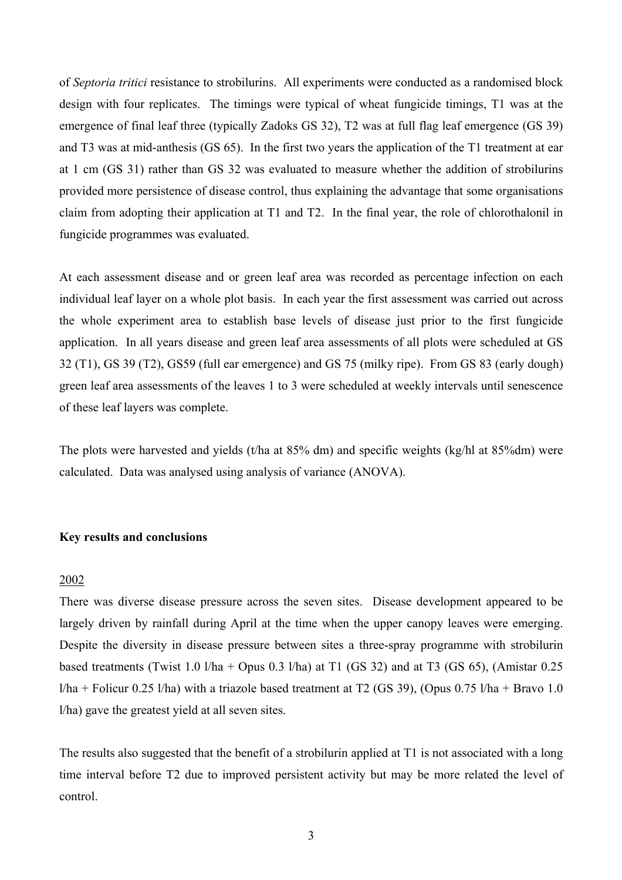of *Septoria tritici* resistance to strobilurins. All experiments were conducted as a randomised block design with four replicates. The timings were typical of wheat fungicide timings, T1 was at the emergence of final leaf three (typically Zadoks GS 32), T2 was at full flag leaf emergence (GS 39) and T3 was at mid-anthesis (GS 65). In the first two years the application of the T1 treatment at ear at 1 cm (GS 31) rather than GS 32 was evaluated to measure whether the addition of strobilurins provided more persistence of disease control, thus explaining the advantage that some organisations claim from adopting their application at T1 and T2. In the final year, the role of chlorothalonil in fungicide programmes was evaluated.

At each assessment disease and or green leaf area was recorded as percentage infection on each individual leaf layer on a whole plot basis. In each year the first assessment was carried out across the whole experiment area to establish base levels of disease just prior to the first fungicide application. In all years disease and green leaf area assessments of all plots were scheduled at GS 32 (T1), GS 39 (T2), GS59 (full ear emergence) and GS 75 (milky ripe). From GS 83 (early dough) green leaf area assessments of the leaves 1 to 3 were scheduled at weekly intervals until senescence of these leaf layers was complete.

The plots were harvested and yields (t/ha at 85% dm) and specific weights (kg/hl at 85%dm) were calculated. Data was analysed using analysis of variance (ANOVA).

### **Key results and conclusions**

#### 2002

There was diverse disease pressure across the seven sites. Disease development appeared to be largely driven by rainfall during April at the time when the upper canopy leaves were emerging. Despite the diversity in disease pressure between sites a three-spray programme with strobilurin based treatments (Twist 1.0  $1/ha + Opus$  0.3  $1/ha$ ) at T1 (GS 32) and at T3 (GS 65), (Amistar 0.25  $1/ha$  + Folicur 0.25 l/ha) with a triazole based treatment at T2 (GS 39), (Opus 0.75 l/ha + Bravo 1.0 l/ha) gave the greatest yield at all seven sites.

The results also suggested that the benefit of a strobilurin applied at T1 is not associated with a long time interval before T2 due to improved persistent activity but may be more related the level of control.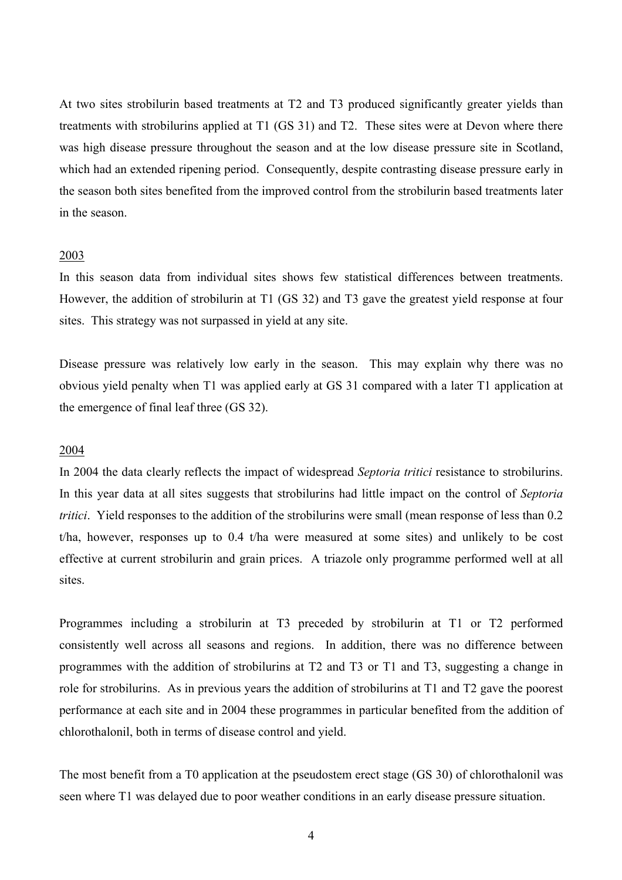At two sites strobilurin based treatments at T2 and T3 produced significantly greater yields than treatments with strobilurins applied at T1 (GS 31) and T2. These sites were at Devon where there was high disease pressure throughout the season and at the low disease pressure site in Scotland, which had an extended ripening period. Consequently, despite contrasting disease pressure early in the season both sites benefited from the improved control from the strobilurin based treatments later in the season.

#### 2003

In this season data from individual sites shows few statistical differences between treatments. However, the addition of strobilurin at T1 (GS 32) and T3 gave the greatest yield response at four sites. This strategy was not surpassed in yield at any site.

Disease pressure was relatively low early in the season. This may explain why there was no obvious yield penalty when T1 was applied early at GS 31 compared with a later T1 application at the emergence of final leaf three (GS 32).

#### 2004

In 2004 the data clearly reflects the impact of widespread *Septoria tritici* resistance to strobilurins. In this year data at all sites suggests that strobilurins had little impact on the control of *Septoria tritici.* Yield responses to the addition of the strobilurins were small (mean response of less than 0.2) t/ha, however, responses up to 0.4 t/ha were measured at some sites) and unlikely to be cost effective at current strobilurin and grain prices. A triazole only programme performed well at all sites.

Programmes including a strobilurin at T3 preceded by strobilurin at T1 or T2 performed consistently well across all seasons and regions. In addition, there was no difference between programmes with the addition of strobilurins at T2 and T3 or T1 and T3, suggesting a change in role for strobilurins. As in previous years the addition of strobilurins at T1 and T2 gave the poorest performance at each site and in 2004 these programmes in particular benefited from the addition of chlorothalonil, both in terms of disease control and yield.

The most benefit from a T0 application at the pseudostem erect stage (GS 30) of chlorothalonil was seen where T1 was delayed due to poor weather conditions in an early disease pressure situation.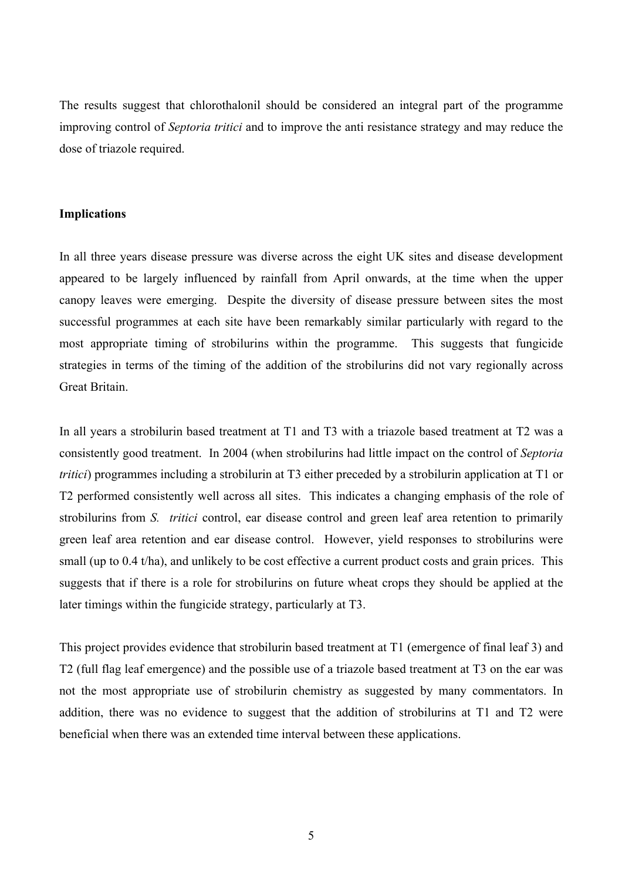The results suggest that chlorothalonil should be considered an integral part of the programme improving control of *Septoria tritici* and to improve the anti resistance strategy and may reduce the dose of triazole required.

#### **Implications**

In all three years disease pressure was diverse across the eight UK sites and disease development appeared to be largely influenced by rainfall from April onwards, at the time when the upper canopy leaves were emerging. Despite the diversity of disease pressure between sites the most successful programmes at each site have been remarkably similar particularly with regard to the most appropriate timing of strobilurins within the programme. This suggests that fungicide strategies in terms of the timing of the addition of the strobilurins did not vary regionally across Great Britain.

In all years a strobilurin based treatment at T1 and T3 with a triazole based treatment at T2 was a consistently good treatment. In 2004 (when strobilurins had little impact on the control of *Septoria tritici*) programmes including a strobilurin at T3 either preceded by a strobilurin application at T1 or T2 performed consistently well across all sites. This indicates a changing emphasis of the role of strobilurins from *S. tritici* control, ear disease control and green leaf area retention to primarily green leaf area retention and ear disease control. However, yield responses to strobilurins were small (up to 0.4 t/ha), and unlikely to be cost effective a current product costs and grain prices. This suggests that if there is a role for strobilurins on future wheat crops they should be applied at the later timings within the fungicide strategy, particularly at T3.

This project provides evidence that strobilurin based treatment at T1 (emergence of final leaf 3) and T2 (full flag leaf emergence) and the possible use of a triazole based treatment at T3 on the ear was not the most appropriate use of strobilurin chemistry as suggested by many commentators. In addition, there was no evidence to suggest that the addition of strobilurins at T1 and T2 were beneficial when there was an extended time interval between these applications.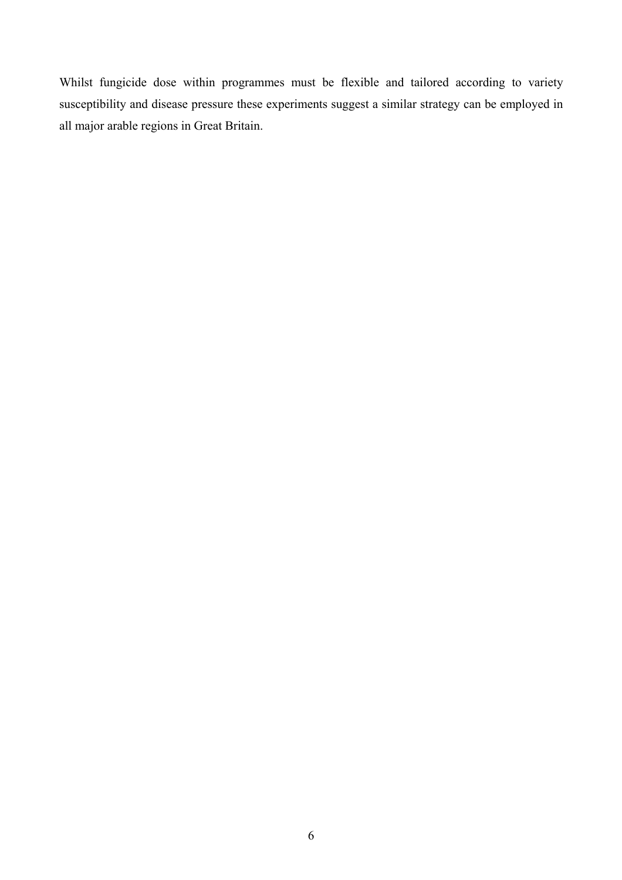Whilst fungicide dose within programmes must be flexible and tailored according to variety susceptibility and disease pressure these experiments suggest a similar strategy can be employed in all major arable regions in Great Britain.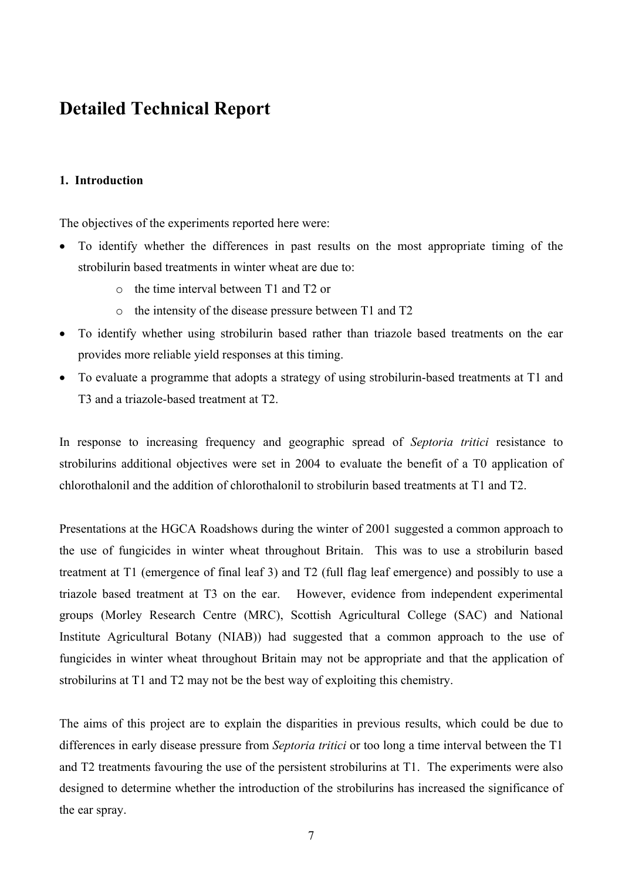# **Detailed Technical Report**

## **1. Introduction**

The objectives of the experiments reported here were:

- To identify whether the differences in past results on the most appropriate timing of the strobilurin based treatments in winter wheat are due to:
	- o the time interval between T1 and T2 or
	- o the intensity of the disease pressure between T1 and T2
- To identify whether using strobilurin based rather than triazole based treatments on the ear provides more reliable yield responses at this timing.
- To evaluate a programme that adopts a strategy of using strobilurin-based treatments at T1 and T3 and a triazole-based treatment at T2.

In response to increasing frequency and geographic spread of *Septoria tritici* resistance to strobilurins additional objectives were set in 2004 to evaluate the benefit of a T0 application of chlorothalonil and the addition of chlorothalonil to strobilurin based treatments at T1 and T2.

Presentations at the HGCA Roadshows during the winter of 2001 suggested a common approach to the use of fungicides in winter wheat throughout Britain. This was to use a strobilurin based treatment at T1 (emergence of final leaf 3) and T2 (full flag leaf emergence) and possibly to use a triazole based treatment at T3 on the ear. However, evidence from independent experimental groups (Morley Research Centre (MRC), Scottish Agricultural College (SAC) and National Institute Agricultural Botany (NIAB)) had suggested that a common approach to the use of fungicides in winter wheat throughout Britain may not be appropriate and that the application of strobilurins at T1 and T2 may not be the best way of exploiting this chemistry.

The aims of this project are to explain the disparities in previous results, which could be due to differences in early disease pressure from *Septoria tritici* or too long a time interval between the T1 and T2 treatments favouring the use of the persistent strobilurins at T1. The experiments were also designed to determine whether the introduction of the strobilurins has increased the significance of the ear spray.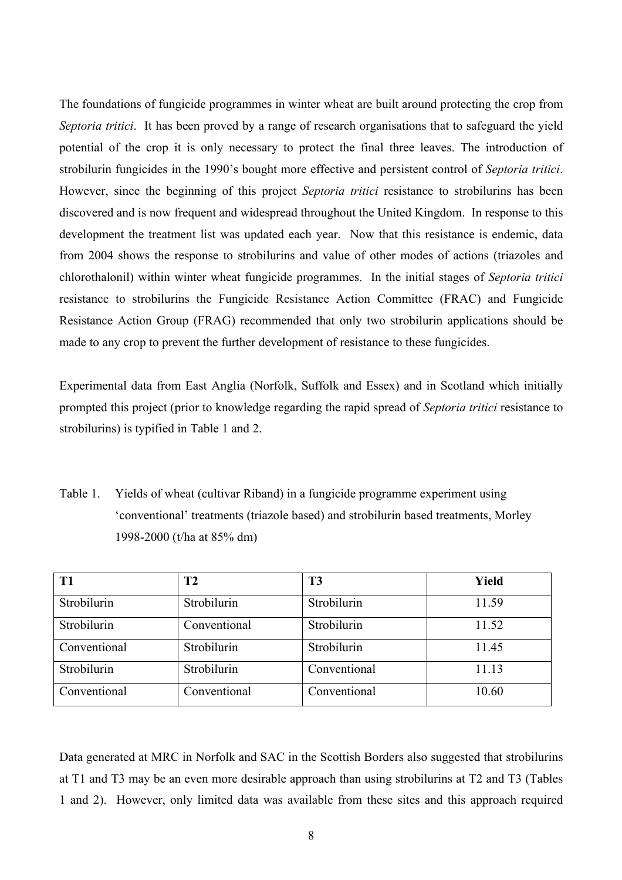The foundations of fungicide programmes in winter wheat are built around protecting the crop from *Septoria tritici*. It has been proved by a range of research organisations that to safeguard the yield potential of the crop it is only necessary to protect the final three leaves. The introduction of strobilurin fungicides in the 1990's bought more effective and persistent control of *Septoria tritici*. However, since the beginning of this project *Septoria tritici* resistance to strobilurins has been discovered and is now frequent and widespread throughout the United Kingdom. In response to this development the treatment list was updated each year. Now that this resistance is endemic, data from 2004 shows the response to strobilurins and value of other modes of actions (triazoles and chlorothalonil) within winter wheat fungicide programmes. In the initial stages of *Septoria tritici* resistance to strobilurins the Fungicide Resistance Action Committee (FRAC) and Fungicide Resistance Action Group (FRAG) recommended that only two strobilurin applications should be made to any crop to prevent the further development of resistance to these fungicides.

Experimental data from East Anglia (Norfolk, Suffolk and Essex) and in Scotland which initially prompted this project (prior to knowledge regarding the rapid spread of *Septoria tritici* resistance to strobilurins) is typified in Table 1 and 2.

Table 1. Yields of wheat (cultivar Riband) in a fungicide programme experiment using 'conventional' treatments (triazole based) and strobilurin based treatments, Morley 1998-2000 (t/ha at 85% dm)

| T <sub>1</sub> | T <sub>2</sub> | T <sub>3</sub> | <b>Yield</b> |
|----------------|----------------|----------------|--------------|
| Strobilurin    | Strobilurin    | Strobilurin    | 11.59        |
| Strobilurin    | Conventional   | Strobilurin    | 11.52        |
| Conventional   | Strobilurin    | Strobilurin    | 11.45        |
| Strobilurin    | Strobilurin    | Conventional   | 11.13        |
| Conventional   | Conventional   | Conventional   | 10.60        |

Data generated at MRC in Norfolk and SAC in the Scottish Borders also suggested that strobilurins at T1 and T3 may be an even more desirable approach than using strobilurins at T2 and T3 (Tables 1 and 2). However, only limited data was available from these sites and this approach required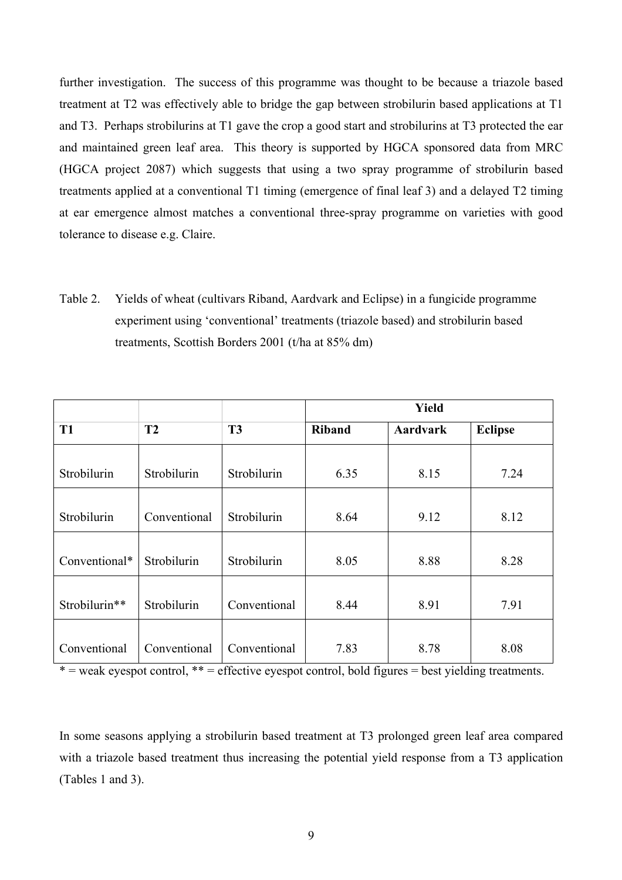further investigation. The success of this programme was thought to be because a triazole based treatment at T2 was effectively able to bridge the gap between strobilurin based applications at T1 and T3. Perhaps strobilurins at T1 gave the crop a good start and strobilurins at T3 protected the ear and maintained green leaf area. This theory is supported by HGCA sponsored data from MRC (HGCA project 2087) which suggests that using a two spray programme of strobilurin based treatments applied at a conventional T1 timing (emergence of final leaf 3) and a delayed T2 timing at ear emergence almost matches a conventional three-spray programme on varieties with good tolerance to disease e.g. Claire.

Table 2. Yields of wheat (cultivars Riband, Aardvark and Eclipse) in a fungicide programme experiment using 'conventional' treatments (triazole based) and strobilurin based treatments, Scottish Borders 2001 (t/ha at 85% dm)

|                |              |                |               | <b>Yield</b> |                |
|----------------|--------------|----------------|---------------|--------------|----------------|
| T <sub>1</sub> | T2           | T <sub>3</sub> | <b>Riband</b> | Aardvark     | <b>Eclipse</b> |
| Strobilurin    | Strobilurin  | Strobilurin    | 6.35          | 8.15         | 7.24           |
| Strobilurin    | Conventional | Strobilurin    | 8.64          | 9.12         | 8.12           |
| Conventional*  | Strobilurin  | Strobilurin    | 8.05          | 8.88         | 8.28           |
| Strobilurin**  | Strobilurin  | Conventional   | 8.44          | 8.91         | 7.91           |
| Conventional   | Conventional | Conventional   | 7.83          | 8.78         | 8.08           |

 $* =$  weak eyespot control,  $** =$  effective eyespot control, bold figures = best yielding treatments.

In some seasons applying a strobilurin based treatment at T3 prolonged green leaf area compared with a triazole based treatment thus increasing the potential yield response from a T3 application (Tables 1 and 3).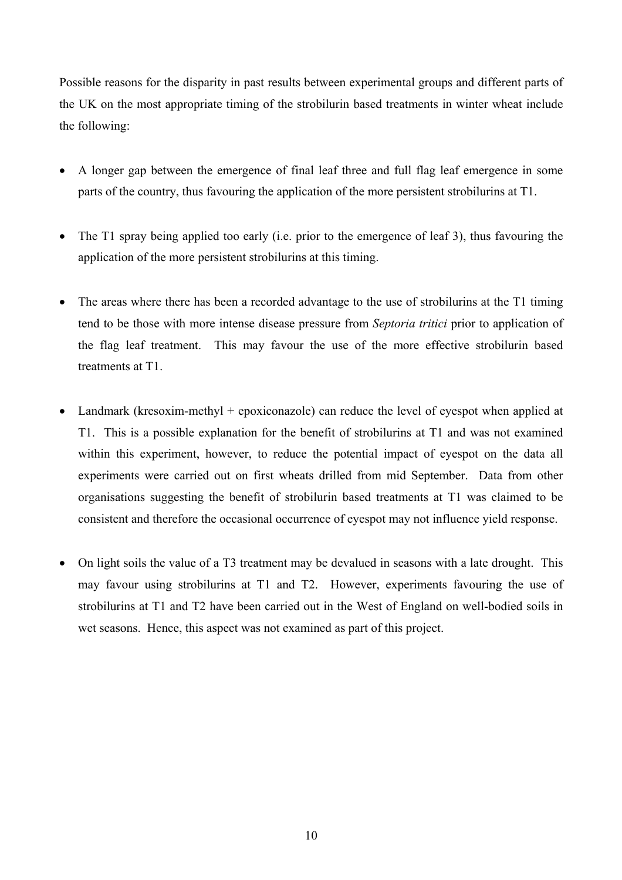Possible reasons for the disparity in past results between experimental groups and different parts of the UK on the most appropriate timing of the strobilurin based treatments in winter wheat include the following:

- A longer gap between the emergence of final leaf three and full flag leaf emergence in some parts of the country, thus favouring the application of the more persistent strobilurins at T1.
- The T1 spray being applied too early (i.e. prior to the emergence of leaf 3), thus favouring the application of the more persistent strobilurins at this timing.
- The areas where there has been a recorded advantage to the use of strobilurins at the T1 timing tend to be those with more intense disease pressure from *Septoria tritici* prior to application of the flag leaf treatment. This may favour the use of the more effective strobilurin based treatments at T1.
- Landmark (kresoxim-methyl + epoxiconazole) can reduce the level of eyespot when applied at T1. This is a possible explanation for the benefit of strobilurins at T1 and was not examined within this experiment, however, to reduce the potential impact of eyespot on the data all experiments were carried out on first wheats drilled from mid September. Data from other organisations suggesting the benefit of strobilurin based treatments at T1 was claimed to be consistent and therefore the occasional occurrence of eyespot may not influence yield response.
- On light soils the value of a T3 treatment may be devalued in seasons with a late drought. This may favour using strobilurins at T1 and T2. However, experiments favouring the use of strobilurins at T1 and T2 have been carried out in the West of England on well-bodied soils in wet seasons. Hence, this aspect was not examined as part of this project.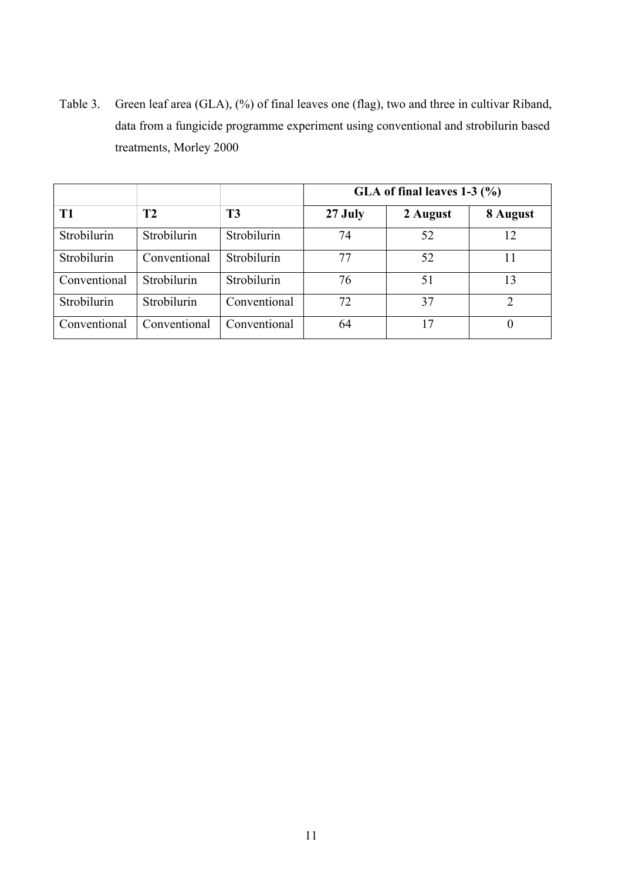Table 3. Green leaf area (GLA), (%) of final leaves one (flag), two and three in cultivar Riband, data from a fungicide programme experiment using conventional and strobilurin based treatments, Morley 2000

|              |              |                | GLA of final leaves $1-3$ (%) |          |                |
|--------------|--------------|----------------|-------------------------------|----------|----------------|
| <b>T1</b>    | <b>T2</b>    | T <sub>3</sub> | 27 July                       | 2 August | 8 August       |
| Strobilurin  | Strobilurin  | Strobilurin    | 74                            | 52       | 12             |
| Strobilurin  | Conventional | Strobilurin    | 77                            | 52       | 11             |
| Conventional | Strobilurin  | Strobilurin    | 76                            | 51       | 13             |
| Strobilurin  | Strobilurin  | Conventional   | 72                            | 37       | $\overline{2}$ |
| Conventional | Conventional | Conventional   | 64                            | 17       | $\theta$       |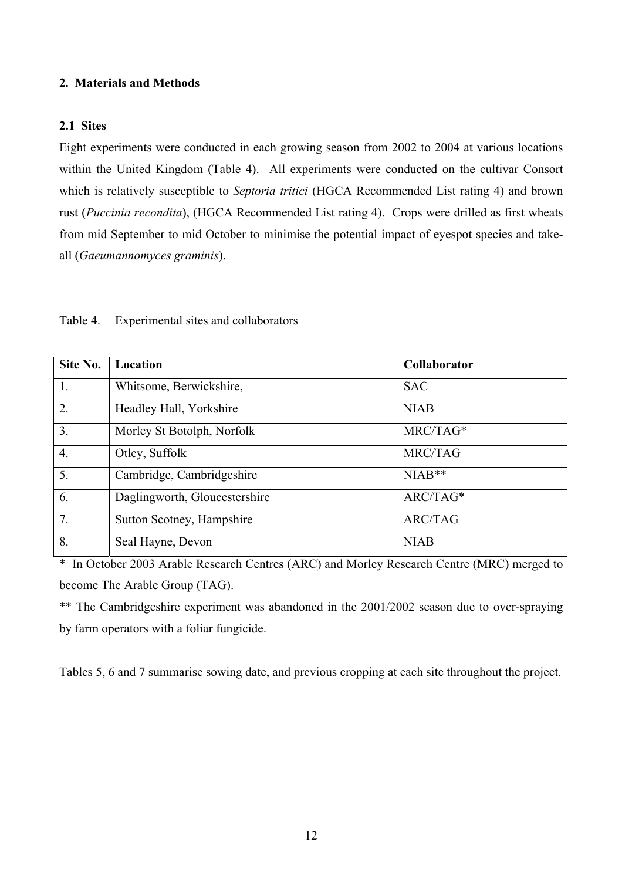#### **2. Materials and Methods**

## **2.1 Sites**

Eight experiments were conducted in each growing season from 2002 to 2004 at various locations within the United Kingdom (Table 4). All experiments were conducted on the cultivar Consort which is relatively susceptible to *Septoria tritici* (HGCA Recommended List rating 4) and brown rust (*Puccinia recondita*), (HGCA Recommended List rating 4). Crops were drilled as first wheats from mid September to mid October to minimise the potential impact of eyespot species and takeall (*Gaeumannomyces graminis*).

| Site No.         | Location                      | Collaborator   |
|------------------|-------------------------------|----------------|
| 1.               | Whitsome, Berwickshire,       | <b>SAC</b>     |
| 2.               | Headley Hall, Yorkshire       | <b>NIAB</b>    |
| 3.               | Morley St Botolph, Norfolk    | MRC/TAG*       |
| $\overline{4}$ . | Otley, Suffolk                | MRC/TAG        |
| 5.               | Cambridge, Cambridgeshire     | $NIAB**$       |
| 6.               | Daglingworth, Gloucestershire | ARC/TAG*       |
| 7.               | Sutton Scotney, Hampshire     | <b>ARC/TAG</b> |
| 8.               | Seal Hayne, Devon             | <b>NIAB</b>    |

Table 4. Experimental sites and collaborators

\* In October 2003 Arable Research Centres (ARC) and Morley Research Centre (MRC) merged to become The Arable Group (TAG).

\*\* The Cambridgeshire experiment was abandoned in the 2001/2002 season due to over-spraying by farm operators with a foliar fungicide.

Tables 5, 6 and 7 summarise sowing date, and previous cropping at each site throughout the project.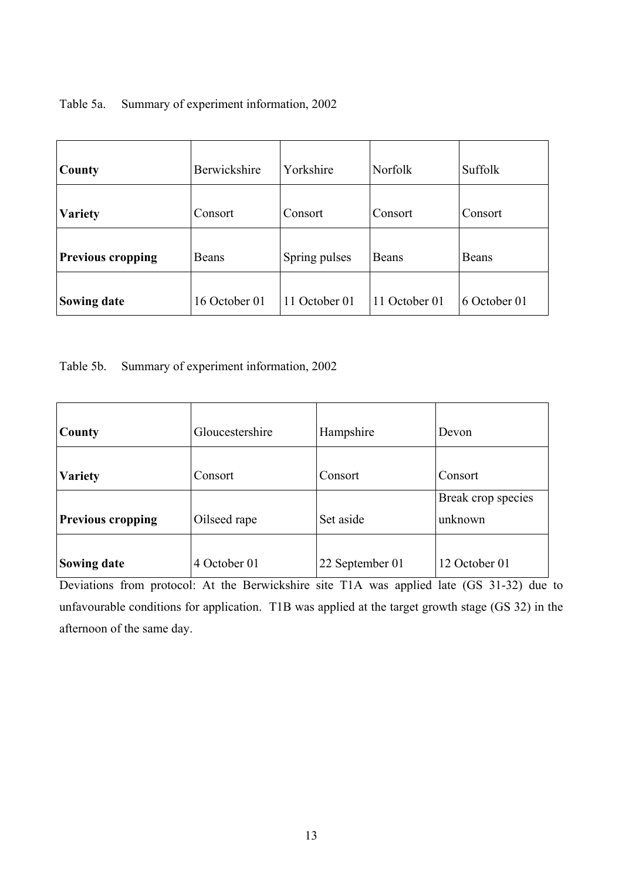## Table 5a. Summary of experiment information, 2002

| County                   | Berwickshire  | Yorkshire     | <b>Norfolk</b> | Suffolk      |
|--------------------------|---------------|---------------|----------------|--------------|
| <b>Variety</b>           | Consort       | Consort       | Consort        | Consort      |
| <b>Previous cropping</b> | Beans         | Spring pulses | Beans          | Beans        |
| <b>Sowing date</b>       | 16 October 01 | 11 October 01 | 11 October 01  | 6 October 01 |

Table 5b. Summary of experiment information, 2002

| County                   | Gloucestershire | Hampshire       | Devon                         |
|--------------------------|-----------------|-----------------|-------------------------------|
| <b>Variety</b>           | Consort         | Consort         | Consort                       |
| <b>Previous cropping</b> | Oilseed rape    | Set aside       | Break crop species<br>unknown |
| <b>Sowing date</b>       | 4 October 01    | 22 September 01 | 12 October 01                 |

Deviations from protocol: At the Berwickshire site T1A was applied late (GS 31-32) due to unfavourable conditions for application. T1B was applied at the target growth stage (GS 32) in the afternoon of the same day.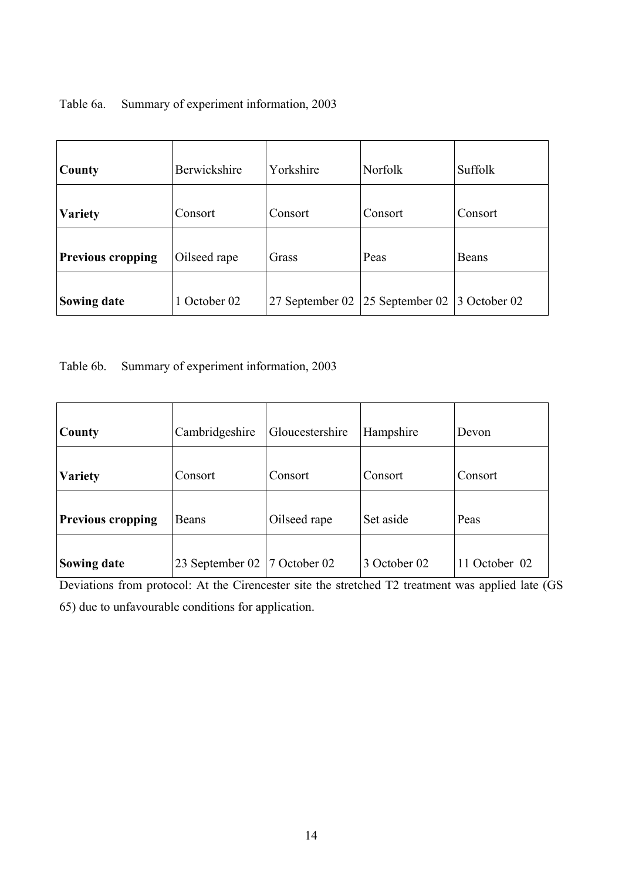## Table 6a. Summary of experiment information, 2003

| County                   | Berwickshire | Yorkshire       | <b>Norfolk</b>  | Suffolk      |
|--------------------------|--------------|-----------------|-----------------|--------------|
| <b>Variety</b>           | Consort      | Consort         | Consort         | Consort      |
| <b>Previous cropping</b> | Oilseed rape | Grass           | Peas            | Beans        |
| <b>Sowing date</b>       | 1 October 02 | 27 September 02 | 25 September 02 | 3 October 02 |

Table 6b. Summary of experiment information, 2003

| County                   | Cambridgeshire  | Gloucestershire       | Hampshire    | Devon         |
|--------------------------|-----------------|-----------------------|--------------|---------------|
| <b>Variety</b>           | Consort         | Consort               | Consort      | Consort       |
| <b>Previous cropping</b> | Beans           | Oilseed rape          | Set aside    | Peas          |
| <b>Sowing date</b>       | 23 September 02 | $\sqrt{7}$ October 02 | 3 October 02 | 11 October 02 |

Deviations from protocol: At the Cirencester site the stretched T2 treatment was applied late (GS 65) due to unfavourable conditions for application.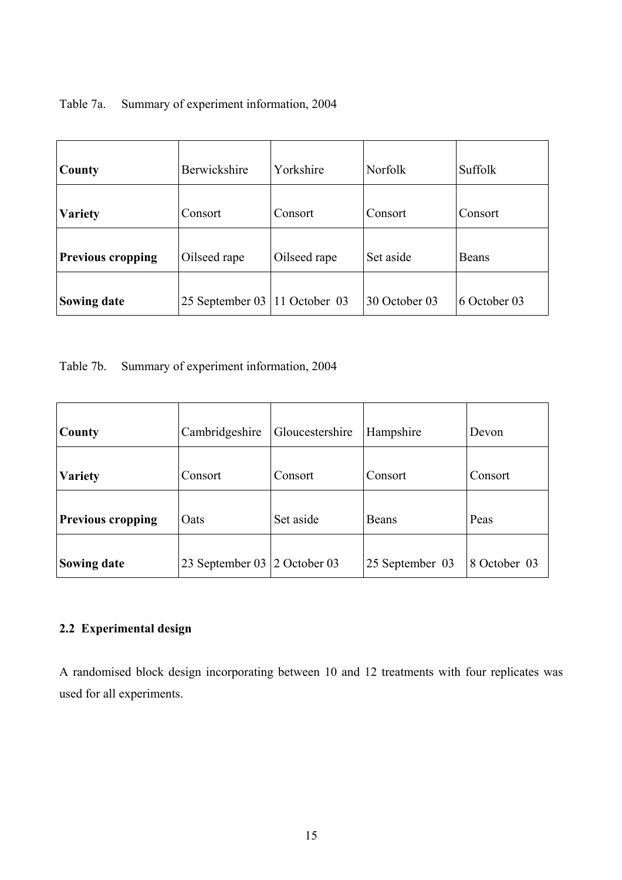|  | Table 7a. Summary of experiment information, 2004 |
|--|---------------------------------------------------|
|--|---------------------------------------------------|

| County                   | Berwickshire    | Yorkshire     | Norfolk       | Suffolk      |
|--------------------------|-----------------|---------------|---------------|--------------|
| <b>Variety</b>           | Consort         | Consort       | Consort       | Consort      |
| <b>Previous cropping</b> | Oilseed rape    | Oilseed rape  | Set aside     | Beans        |
| <b>Sowing date</b>       | 25 September 03 | 11 October 03 | 30 October 03 | 6 October 03 |

Table 7b. Summary of experiment information, 2004

| County                   | Cambridgeshire               | Gloucestershire | Hampshire       | Devon        |
|--------------------------|------------------------------|-----------------|-----------------|--------------|
| <b>Variety</b>           | Consort                      | Consort         | Consort         | Consort      |
| <b>Previous cropping</b> | Oats                         | Set aside       | <b>Beans</b>    | Peas         |
| <b>Sowing date</b>       | 23 September 03 2 October 03 |                 | 25 September 03 | 8 October 03 |

## **2.2 Experimental design**

A randomised block design incorporating between 10 and 12 treatments with four replicates was used for all experiments.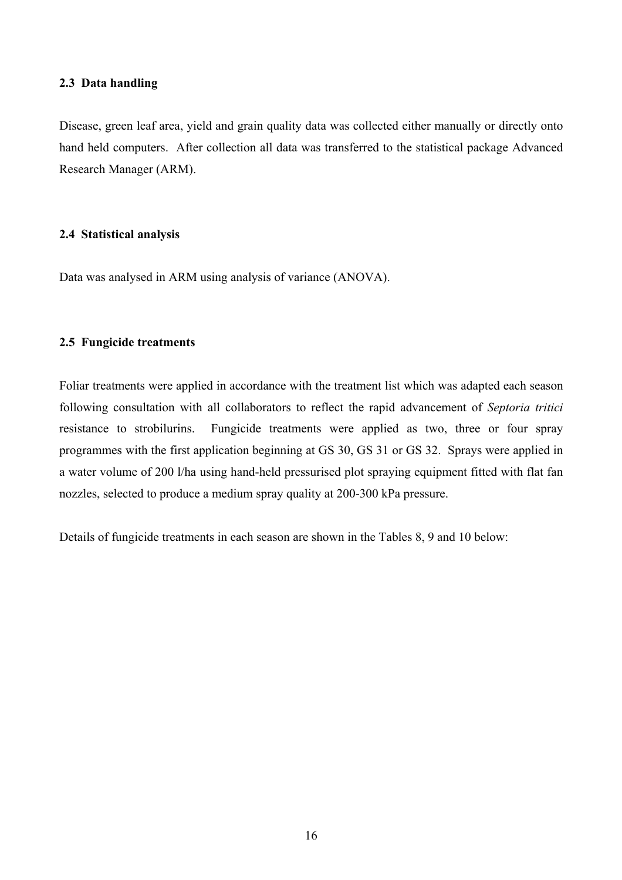### **2.3 Data handling**

Disease, green leaf area, yield and grain quality data was collected either manually or directly onto hand held computers. After collection all data was transferred to the statistical package Advanced Research Manager (ARM).

## **2.4 Statistical analysis**

Data was analysed in ARM using analysis of variance (ANOVA).

## **2.5 Fungicide treatments**

Foliar treatments were applied in accordance with the treatment list which was adapted each season following consultation with all collaborators to reflect the rapid advancement of *Septoria tritici* resistance to strobilurins. Fungicide treatments were applied as two, three or four spray programmes with the first application beginning at GS 30, GS 31 or GS 32. Sprays were applied in a water volume of 200 l/ha using hand-held pressurised plot spraying equipment fitted with flat fan nozzles, selected to produce a medium spray quality at 200-300 kPa pressure.

Details of fungicide treatments in each season are shown in the Tables 8, 9 and 10 below: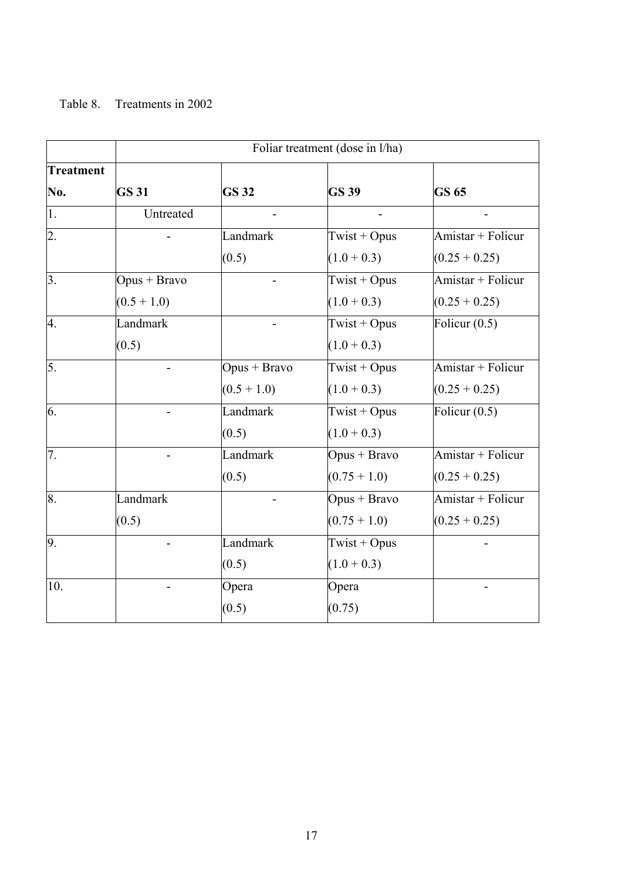## Table 8. Treatments in 2002

|                  | Foliar treatment (dose in l/ha) |                |                |                   |  |  |  |
|------------------|---------------------------------|----------------|----------------|-------------------|--|--|--|
| <b>Treatment</b> |                                 |                |                |                   |  |  |  |
| No.              | <b>GS 31</b>                    | <b>GS32</b>    | <b>GS 39</b>   | <b>GS 65</b>      |  |  |  |
| 1.               | Untreated                       |                |                |                   |  |  |  |
| 2.               |                                 | Landmark       | Twist + Opus   | Amistar + Folicur |  |  |  |
|                  |                                 | (0.5)          | $(1.0 + 0.3)$  | $(0.25 + 0.25)$   |  |  |  |
| $\overline{3}$ . | $Opus + Bravo$                  |                | Twist + Opus   | Amistar + Folicur |  |  |  |
|                  | $(0.5 + 1.0)$                   |                | $(1.0 + 0.3)$  | $(0.25 + 0.25)$   |  |  |  |
| 4.               | Landmark                        |                | Twist + Opus   | Folicur $(0.5)$   |  |  |  |
|                  | (0.5)                           |                | $(1.0 + 0.3)$  |                   |  |  |  |
| 5.               |                                 | $Opus + Bravo$ | Twist + Opus   | Amistar + Folicur |  |  |  |
|                  |                                 | $(0.5 + 1.0)$  | $(1.0 + 0.3)$  | $(0.25 + 0.25)$   |  |  |  |
| 6.               |                                 | Landmark       | Twist + Opus   | Folicur $(0.5)$   |  |  |  |
|                  |                                 | (0.5)          | $(1.0 + 0.3)$  |                   |  |  |  |
| 7.               |                                 | Landmark       | $Opus + Bravo$ | Amistar + Folicur |  |  |  |
|                  |                                 | (0.5)          | $(0.75 + 1.0)$ | $(0.25 + 0.25)$   |  |  |  |
| 8.               | Landmark                        |                | $Opus + Bravo$ | Amistar + Folicur |  |  |  |
|                  | (0.5)                           |                | $(0.75 + 1.0)$ | $(0.25 + 0.25)$   |  |  |  |
| 9.               |                                 | Landmark       | Twist + Opus   |                   |  |  |  |
|                  |                                 | (0.5)          | $(1.0 + 0.3)$  |                   |  |  |  |
| 10.              | $\overline{\phantom{0}}$        | Opera          | Opera          |                   |  |  |  |
|                  |                                 | (0.5)          | (0.75)         |                   |  |  |  |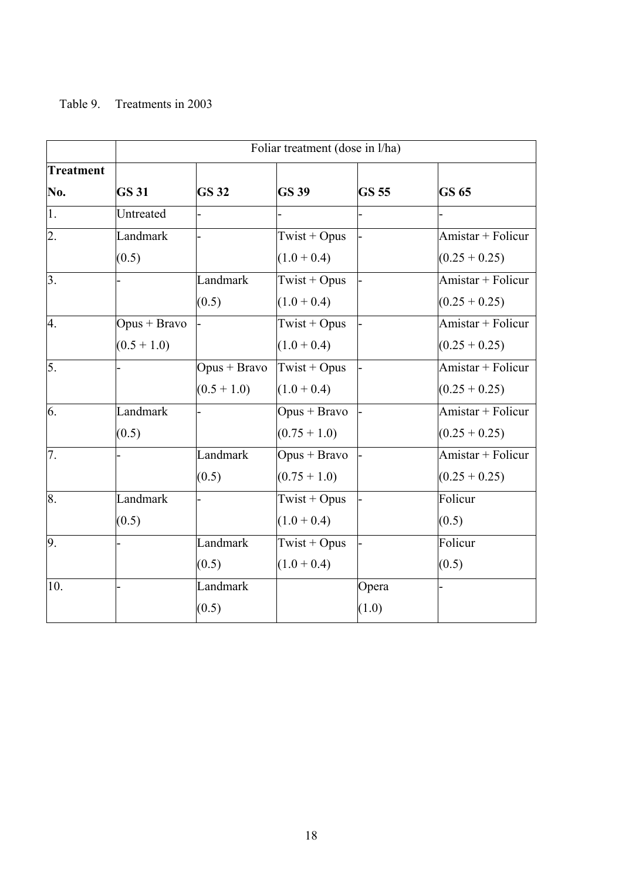## Table 9. Treatments in 2003

|                  | Foliar treatment (dose in l/ha) |                |                |              |                   |  |
|------------------|---------------------------------|----------------|----------------|--------------|-------------------|--|
| <b>Treatment</b> |                                 |                |                |              |                   |  |
| No.              | <b>GS 31</b>                    | <b>GS 32</b>   | <b>GS 39</b>   | <b>GS 55</b> | <b>GS 65</b>      |  |
| 1.               | Untreated                       |                |                |              |                   |  |
| 2.               | Landmark                        |                | Twist + Opus   |              | Amistar + Folicur |  |
|                  | (0.5)                           |                | $(1.0 + 0.4)$  |              | $(0.25 + 0.25)$   |  |
| $\overline{3}$ . |                                 | Landmark       | Twist + Opus   |              | Amistar + Folicur |  |
|                  |                                 | (0.5)          | $(1.0 + 0.4)$  |              | $(0.25 + 0.25)$   |  |
| 4.               | $Opus + Bravo$                  |                | Twist + Opus   |              | Amistar + Folicur |  |
|                  | $(0.5 + 1.0)$                   |                | $(1.0 + 0.4)$  |              | $(0.25 + 0.25)$   |  |
| 5.               |                                 | $Opus + Bravo$ | Twist + Opus   |              | Amistar + Folicur |  |
|                  |                                 | $(0.5 + 1.0)$  | $(1.0 + 0.4)$  |              | $(0.25 + 0.25)$   |  |
| 6.               | Landmark                        |                | Opus + Bravo   |              | Amistar + Folicur |  |
|                  | (0.5)                           |                | $(0.75 + 1.0)$ |              | $(0.25 + 0.25)$   |  |
| 7.               |                                 | Landmark       | $Opus + Bravo$ |              | Amistar + Folicur |  |
|                  |                                 | (0.5)          | $(0.75 + 1.0)$ |              | $(0.25 + 0.25)$   |  |
| 8.               | Landmark                        |                | Twist + Opus   |              | Folicur           |  |
|                  | (0.5)                           |                | $(1.0 + 0.4)$  |              | (0.5)             |  |
| 9.               |                                 | Landmark       | Twist + Opus   |              | Folicur           |  |
|                  |                                 | (0.5)          | $(1.0 + 0.4)$  |              | (0.5)             |  |
| 10.              |                                 | Landmark       |                | Opera        |                   |  |
|                  |                                 | (0.5)          |                | (1.0)        |                   |  |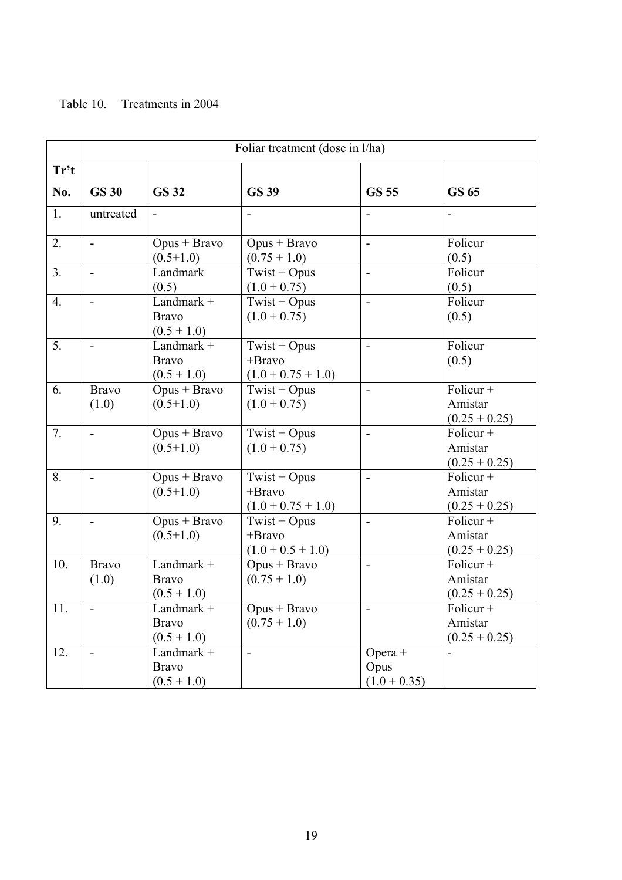## Table 10. Treatments in 2004

|                |                          | Foliar treatment (dose in l/ha)             |                                                     |                                     |                                           |  |  |  |  |  |
|----------------|--------------------------|---------------------------------------------|-----------------------------------------------------|-------------------------------------|-------------------------------------------|--|--|--|--|--|
| Tr't           |                          |                                             |                                                     |                                     |                                           |  |  |  |  |  |
| No.            | <b>GS 30</b>             | <b>GS 32</b>                                | <b>GS 39</b>                                        | <b>GS 55</b>                        | <b>GS 65</b>                              |  |  |  |  |  |
| 1.             | untreated                |                                             |                                                     |                                     |                                           |  |  |  |  |  |
| 2.             | $\overline{a}$           | $Opus + Bravo$<br>$(0.5+1.0)$               | $Opus + Bravo$<br>$(0.75 + 1.0)$                    | $\overline{\phantom{0}}$            | Folicur<br>(0.5)                          |  |  |  |  |  |
| 3 <sub>1</sub> | $\overline{\phantom{a}}$ | Landmark<br>(0.5)                           | Twist + Opus<br>$(1.0 + 0.75)$                      | $\overline{\phantom{a}}$            | Folicur<br>(0.5)                          |  |  |  |  |  |
| 4.             | $\blacksquare$           | Landmark +<br><b>Bravo</b><br>$(0.5 + 1.0)$ | Twist + Opus<br>$(1.0 + 0.75)$                      | $\overline{\phantom{0}}$            | Folicur<br>(0.5)                          |  |  |  |  |  |
| 5.             |                          | Landmark +<br><b>Bravo</b><br>$(0.5 + 1.0)$ | Twist + Opus<br>$+Bravo$<br>$(1.0 + 0.75 + 1.0)$    | $\overline{a}$                      | Folicur<br>(0.5)                          |  |  |  |  |  |
| 6.             | <b>Bravo</b><br>(1.0)    | $Opus + Bravo$<br>$(0.5+1.0)$               | Twist + Opus<br>$(1.0 + 0.75)$                      | $\overline{a}$                      | Folicur +<br>Amistar<br>$(0.25 + 0.25)$   |  |  |  |  |  |
| 7.             |                          | $Opus + Bravo$<br>$(0.5+1.0)$               | $Twist + Opus$<br>$(1.0 + 0.75)$                    | $\blacksquare$                      | Folicur $+$<br>Amistar<br>$(0.25 + 0.25)$ |  |  |  |  |  |
| 8.             | $\overline{a}$           | $Opus + Bravo$<br>$(0.5+1.0)$               | Twist + Opus<br>+Bravo<br>$(1.0 + 0.75 + 1.0)$      | $\overline{\phantom{0}}$            | Folicur +<br>Amistar<br>$(0.25 + 0.25)$   |  |  |  |  |  |
| 9.             |                          | $Opus + Bravo$<br>$(0.5+1.0)$               | Twist + Opus<br>$+Bravo$<br>$(1.0 + 0.5 + 1.0)$     | $\blacksquare$                      | Folicur +<br>Amistar<br>$(0.25 + 0.25)$   |  |  |  |  |  |
| 10.            | <b>Bravo</b><br>(1.0)    | Landmark +<br><b>Bravo</b><br>$(0.5 + 1.0)$ | $Opus + Bravo$<br>$(0.75 + 1.0)$                    | $\overline{\phantom{0}}$            | Folicur +<br>Amistar<br>$(0.25 + 0.25)$   |  |  |  |  |  |
| 11.            |                          | Landmark +<br><b>Bravo</b><br>$(0.5 + 1.0)$ | $\overline{\text{Op}}$ us + Bravo<br>$(0.75 + 1.0)$ |                                     | Folicur +<br>Amistar<br>$(0.25 + 0.25)$   |  |  |  |  |  |
| 12.            | $\blacksquare$           | Landmark +<br><b>Bravo</b><br>$(0.5 + 1.0)$ | $\blacksquare$                                      | $Opera +$<br>Opus<br>$(1.0 + 0.35)$ |                                           |  |  |  |  |  |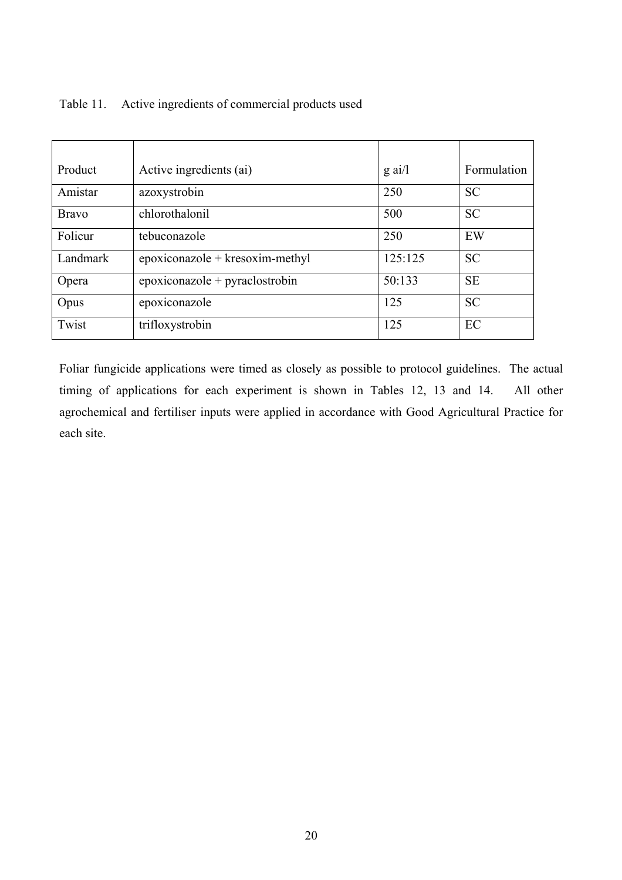|  | Table 11. Active ingredients of commercial products used |
|--|----------------------------------------------------------|
|--|----------------------------------------------------------|

| Product      | Active ingredients (ai)           | $\alpha$ ai/l | Formulation |
|--------------|-----------------------------------|---------------|-------------|
| Amistar      | azoxystrobin                      | 250           | <b>SC</b>   |
| <b>Bravo</b> | chlorothalonil                    | 500           | <b>SC</b>   |
| Folicur      | tebuconazole                      | 250           | EW          |
| Landmark     | $epoxiconazole + kresoxim-methyl$ | 125:125       | <b>SC</b>   |
| Opera        | $epoxiconazole + pyraclostrobin$  | 50:133        | <b>SE</b>   |
| Opus         | epoxiconazole                     | 125           | <b>SC</b>   |
| Twist        | trifloxystrobin                   | 125           | EC          |

Foliar fungicide applications were timed as closely as possible to protocol guidelines. The actual timing of applications for each experiment is shown in Tables 12, 13 and 14. All other agrochemical and fertiliser inputs were applied in accordance with Good Agricultural Practice for each site.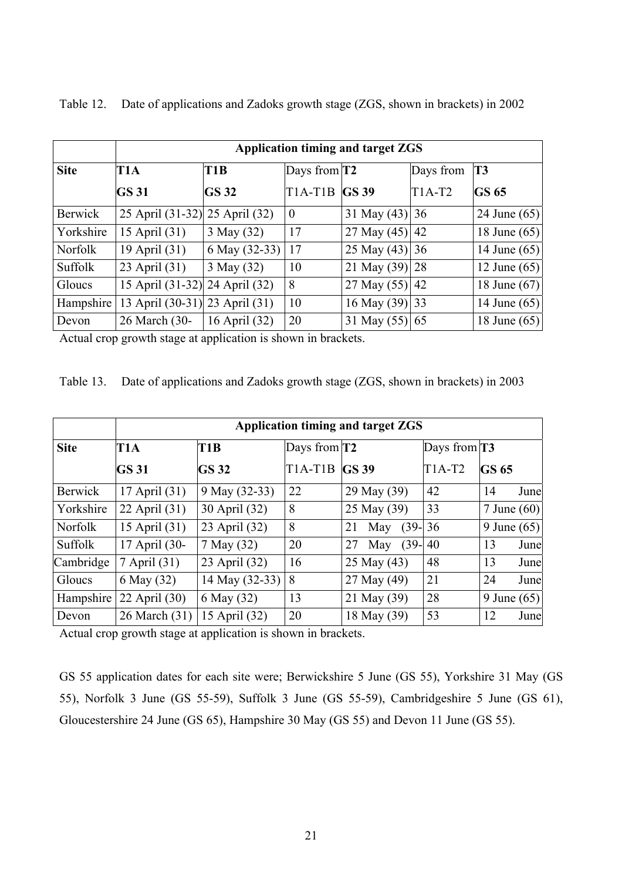|                | Application timing and target ZGS |                    |                      |                  |           |                |  |  |
|----------------|-----------------------------------|--------------------|----------------------|------------------|-----------|----------------|--|--|
| <b>Site</b>    | T1A                               | T <sub>1</sub> B   | Days from $T2$       |                  | Days from | <b>T3</b>      |  |  |
|                | <b>GS 31</b>                      | <b>GS 32</b>       | <b>T1A-T1B GS 39</b> |                  | $T1A-T2$  | <b>GS 65</b>   |  |  |
| Berwick        | 25 April (31-32) 25 April (32)    |                    | $\boldsymbol{0}$     | 31 May $(43)$ 36 |           | 24 June $(65)$ |  |  |
| Yorkshire      | 15 April (31)                     | 3 May (32)         | 17                   | 27 May $(45)$ 42 |           | 18 June $(65)$ |  |  |
| <b>Norfolk</b> | 19 April (31)                     | 6 May (32-33)   17 |                      | 25 May $(43)$ 36 |           | 14 June $(65)$ |  |  |
| Suffolk        | 23 April (31)                     | 3 May (32)         | 10                   | 21 May $(39)$ 28 |           | 12 June $(65)$ |  |  |
| Gloucs         | 15 April (31-32) 24 April (32)    |                    | 8                    | 27 May $(55)$ 42 |           | 18 June $(67)$ |  |  |
| Hampshire      | 13 April (30-31) 23 April (31)    |                    | 10                   | 16 May (39)  33  |           | 14 June $(65)$ |  |  |
| Devon          | 26 March (30-                     | 16 April (32)      | 20                   | 31 May (55) 65   |           | 18 June $(65)$ |  |  |

Table 12. Date of applications and Zadoks growth stage (ZGS, shown in brackets) in 2002

Actual crop growth stage at application is shown in brackets.

Table 13. Date of applications and Zadoks growth stage (ZGS, shown in brackets) in 2003

|                |               | Application timing and target ZGS |                |                      |                |                 |      |  |
|----------------|---------------|-----------------------------------|----------------|----------------------|----------------|-----------------|------|--|
| <b>Site</b>    | T1A           | T <sub>1</sub> B                  | Days from $T2$ |                      | Days from $T3$ |                 |      |  |
|                | <b>GS 31</b>  | <b>GS 32</b>                      | $T1A-T1B$      | <b>GS 39</b>         | $T1A-T2$       | <b>GS 65</b>    |      |  |
| <b>Berwick</b> | 17 April (31) | 9 May (32-33)                     | 22             | 29 May (39)          | 42             | 14              | June |  |
| Yorkshire      | 22 April (31) | 30 April (32)                     | 8              | 25 May (39)          | 33             | $7$ June $(60)$ |      |  |
| <b>Norfolk</b> | 15 April (31) | 23 April (32)                     | 8              | 21<br>$(39-$<br>May  | 36             | 9 June $(65)$   |      |  |
| <b>Suffolk</b> | 17 April (30- | 7 May (32)                        | 20             | $(39 -$<br>27<br>May | 40             | 13              | June |  |
| Cambridge      | 7 April (31)  | 23 April (32)                     | 16             | 25 May (43)          | 48             | 13              | June |  |
| Gloucs         | 6 May (32)    | 14 May (32-33)                    | 8              | 27 May (49)          | 21             | 24              | June |  |
| Hampshire      | 22 April (30) | 6 May (32)                        | 13             | 21 May (39)          | 28             | 9 June $(65)$   |      |  |
| Devon          | 26 March (31) | 15 April (32)                     | 20             | 18 May (39)          | 53             | 12              | June |  |

Actual crop growth stage at application is shown in brackets.

GS 55 application dates for each site were; Berwickshire 5 June (GS 55), Yorkshire 31 May (GS 55), Norfolk 3 June (GS 55-59), Suffolk 3 June (GS 55-59), Cambridgeshire 5 June (GS 61), Gloucestershire 24 June (GS 65), Hampshire 30 May (GS 55) and Devon 11 June (GS 55).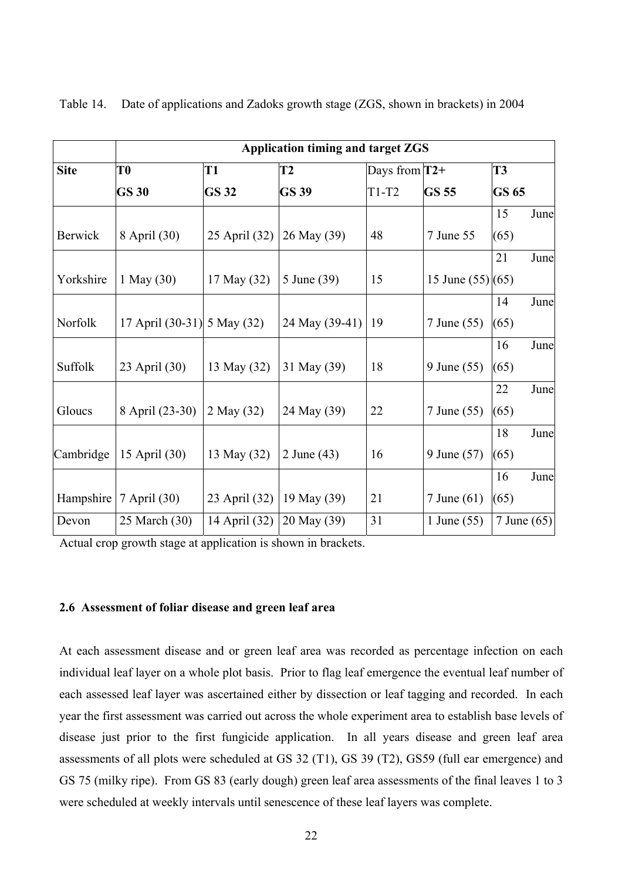|                | <b>Application timing and target ZGS</b> |               |                |                 |                    |              |      |
|----------------|------------------------------------------|---------------|----------------|-----------------|--------------------|--------------|------|
| <b>Site</b>    | T <sub>0</sub>                           | <b>T1</b>     | <b>T2</b>      | Days from $T2+$ |                    | <b>T3</b>    |      |
|                | <b>GS 30</b>                             | <b>GS 32</b>  | <b>GS 39</b>   | $T1-T2$         | <b>GS 55</b>       | <b>GS 65</b> |      |
|                |                                          |               |                |                 |                    | 15           | June |
| <b>Berwick</b> | 8 April (30)                             | 25 April (32) | 26 May (39)    | 48              | 7 June 55          | (65)         |      |
|                |                                          |               |                |                 |                    | 21           | June |
| Yorkshire      | 1 May (30)                               | 17 May (32)   | 5 June (39)    | 15              | 15 June $(55)(65)$ |              |      |
|                |                                          |               |                |                 |                    | 14           | June |
| Norfolk        | 17 April (30-31) 5 May (32)              |               | 24 May (39-41) | 19              | 7 June (55)        | (65)         |      |
|                |                                          |               |                |                 |                    | 16           | June |
| Suffolk        | 23 April (30)                            | 13 May (32)   | 31 May (39)    | 18              | 9 June (55)        | (65)         |      |
|                |                                          |               |                |                 |                    | 22           | June |
| Gloucs         | 8 April (23-30)                          | 2 May (32)    | 24 May (39)    | 22              | 7 June (55)        | (65)         |      |
|                |                                          |               |                |                 |                    | 18           | June |
| Cambridge      | 15 April (30)                            | 13 May (32)   | 2 June (43)    | 16              | 9 June (57)        | (65)         |      |
|                |                                          |               |                |                 |                    | 16           | June |
| Hampshire      | 7 April (30)                             | 23 April (32) | 19 May (39)    | 21              | 7 June $(61)$      | (65)         |      |
| Devon          | 25 March (30)                            | 14 April (32) | 20 May (39)    | 31              | 1 June (55)        | 7 June (65)  |      |

Table 14. Date of applications and Zadoks growth stage (ZGS, shown in brackets) in 2004

Actual crop growth stage at application is shown in brackets.

#### **2.6 Assessment of foliar disease and green leaf area**

At each assessment disease and or green leaf area was recorded as percentage infection on each individual leaf layer on a whole plot basis. Prior to flag leaf emergence the eventual leaf number of each assessed leaf layer was ascertained either by dissection or leaf tagging and recorded. In each year the first assessment was carried out across the whole experiment area to establish base levels of disease just prior to the first fungicide application. In all years disease and green leaf area assessments of all plots were scheduled at GS 32 (T1), GS 39 (T2), GS59 (full ear emergence) and GS 75 (milky ripe). From GS 83 (early dough) green leaf area assessments of the final leaves 1 to 3 were scheduled at weekly intervals until senescence of these leaf layers was complete.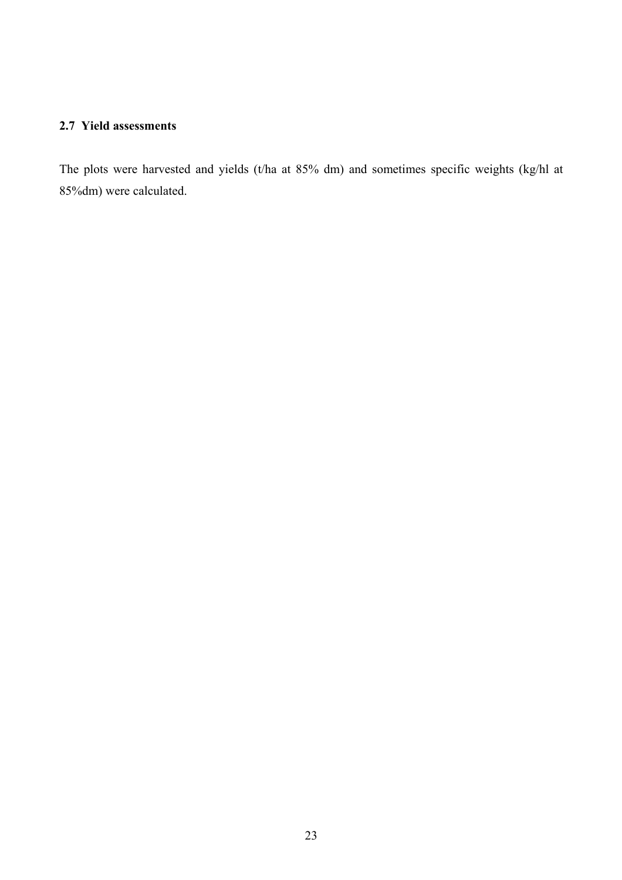## **2.7 Yield assessments**

The plots were harvested and yields (t/ha at 85% dm) and sometimes specific weights (kg/hl at 85%dm) were calculated.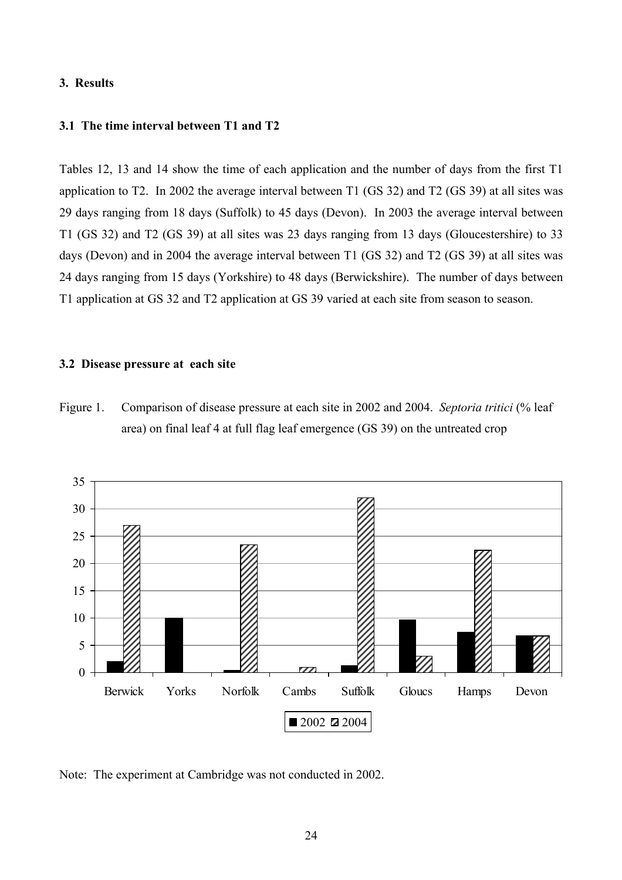### **3. Results**

## **3.1 The time interval between T1 and T2**

Tables 12, 13 and 14 show the time of each application and the number of days from the first T1 application to T2. In 2002 the average interval between T1 (GS 32) and T2 (GS 39) at all sites was 29 days ranging from 18 days (Suffolk) to 45 days (Devon). In 2003 the average interval between T1 (GS 32) and T2 (GS 39) at all sites was 23 days ranging from 13 days (Gloucestershire) to 33 days (Devon) and in 2004 the average interval between T1 (GS 32) and T2 (GS 39) at all sites was 24 days ranging from 15 days (Yorkshire) to 48 days (Berwickshire). The number of days between T1 application at GS 32 and T2 application at GS 39 varied at each site from season to season.

#### **3.2 Disease pressure at each site**

Figure 1. Comparison of disease pressure at each site in 2002 and 2004. *Septoria tritici* (% leaf area) on final leaf 4 at full flag leaf emergence (GS 39) on the untreated crop



Note: The experiment at Cambridge was not conducted in 2002.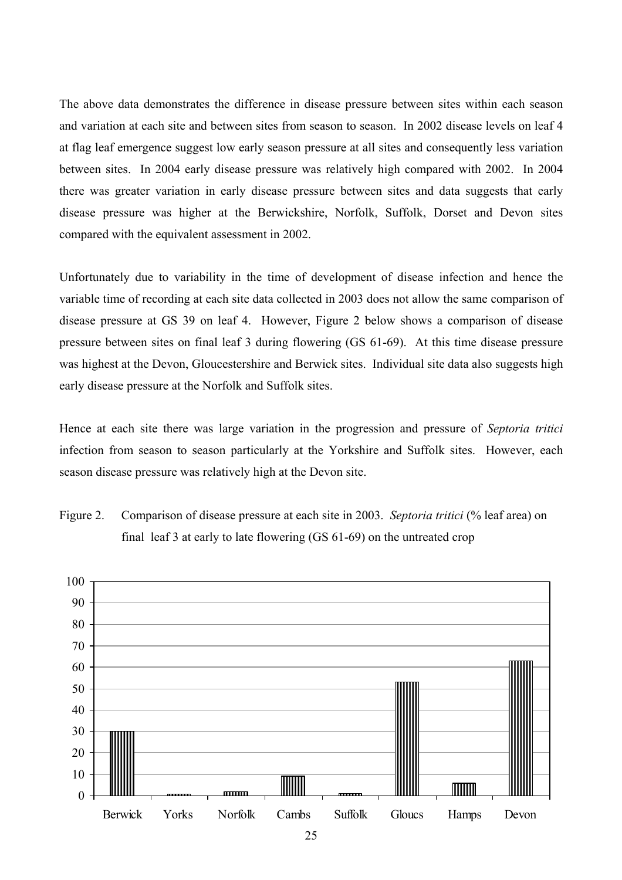The above data demonstrates the difference in disease pressure between sites within each season and variation at each site and between sites from season to season. In 2002 disease levels on leaf 4 at flag leaf emergence suggest low early season pressure at all sites and consequently less variation between sites. In 2004 early disease pressure was relatively high compared with 2002. In 2004 there was greater variation in early disease pressure between sites and data suggests that early disease pressure was higher at the Berwickshire, Norfolk, Suffolk, Dorset and Devon sites compared with the equivalent assessment in 2002.

Unfortunately due to variability in the time of development of disease infection and hence the variable time of recording at each site data collected in 2003 does not allow the same comparison of disease pressure at GS 39 on leaf 4. However, Figure 2 below shows a comparison of disease pressure between sites on final leaf 3 during flowering (GS 61-69). At this time disease pressure was highest at the Devon, Gloucestershire and Berwick sites. Individual site data also suggests high early disease pressure at the Norfolk and Suffolk sites.

Hence at each site there was large variation in the progression and pressure of *Septoria tritici* infection from season to season particularly at the Yorkshire and Suffolk sites. However, each season disease pressure was relatively high at the Devon site.



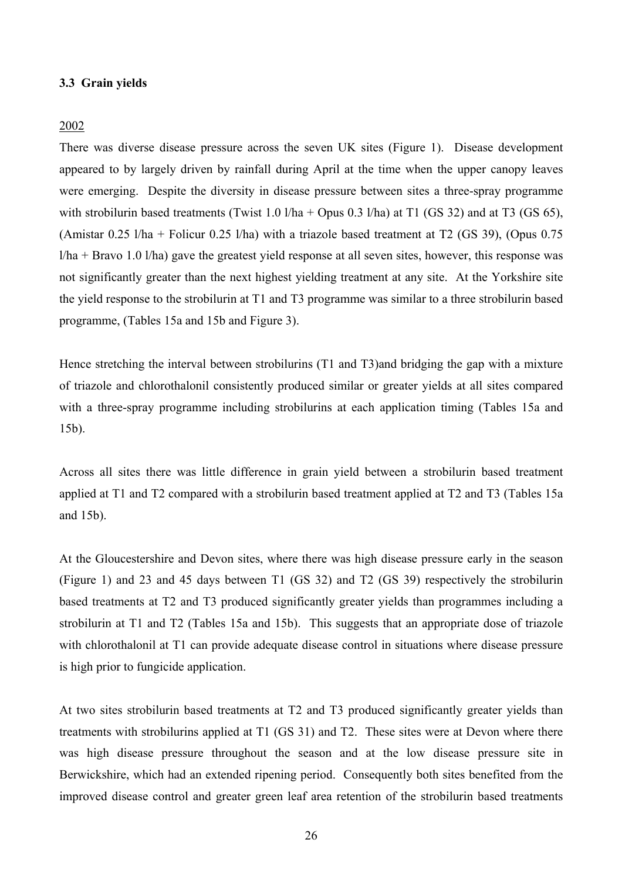#### **3.3 Grain yields**

#### 2002

There was diverse disease pressure across the seven UK sites (Figure 1). Disease development appeared to by largely driven by rainfall during April at the time when the upper canopy leaves were emerging. Despite the diversity in disease pressure between sites a three-spray programme with strobilurin based treatments (Twist 1.0 l/ha + Opus 0.3 l/ha) at T1 (GS 32) and at T3 (GS 65), (Amistar 0.25 l/ha + Folicur 0.25 l/ha) with a triazole based treatment at T2 (GS 39), (Opus 0.75 l/ha + Bravo 1.0 l/ha) gave the greatest yield response at all seven sites, however, this response was not significantly greater than the next highest yielding treatment at any site. At the Yorkshire site the yield response to the strobilurin at T1 and T3 programme was similar to a three strobilurin based programme, (Tables 15a and 15b and Figure 3).

Hence stretching the interval between strobilurins (T1 and T3)and bridging the gap with a mixture of triazole and chlorothalonil consistently produced similar or greater yields at all sites compared with a three-spray programme including strobilurins at each application timing (Tables 15a and 15b).

Across all sites there was little difference in grain yield between a strobilurin based treatment applied at T1 and T2 compared with a strobilurin based treatment applied at T2 and T3 (Tables 15a and 15b).

At the Gloucestershire and Devon sites, where there was high disease pressure early in the season (Figure 1) and 23 and 45 days between T1 (GS 32) and T2 (GS 39) respectively the strobilurin based treatments at T2 and T3 produced significantly greater yields than programmes including a strobilurin at T1 and T2 (Tables 15a and 15b). This suggests that an appropriate dose of triazole with chlorothalonil at T1 can provide adequate disease control in situations where disease pressure is high prior to fungicide application.

At two sites strobilurin based treatments at T2 and T3 produced significantly greater yields than treatments with strobilurins applied at T1 (GS 31) and T2. These sites were at Devon where there was high disease pressure throughout the season and at the low disease pressure site in Berwickshire, which had an extended ripening period. Consequently both sites benefited from the improved disease control and greater green leaf area retention of the strobilurin based treatments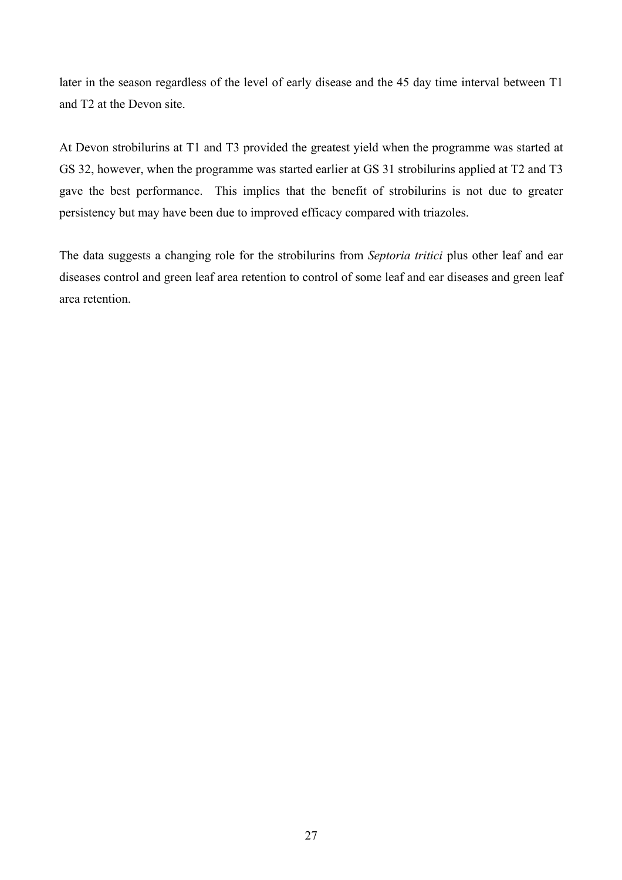later in the season regardless of the level of early disease and the 45 day time interval between T1 and T2 at the Devon site.

At Devon strobilurins at T1 and T3 provided the greatest yield when the programme was started at GS 32, however, when the programme was started earlier at GS 31 strobilurins applied at T2 and T3 gave the best performance. This implies that the benefit of strobilurins is not due to greater persistency but may have been due to improved efficacy compared with triazoles.

The data suggests a changing role for the strobilurins from *Septoria tritici* plus other leaf and ear diseases control and green leaf area retention to control of some leaf and ear diseases and green leaf area retention.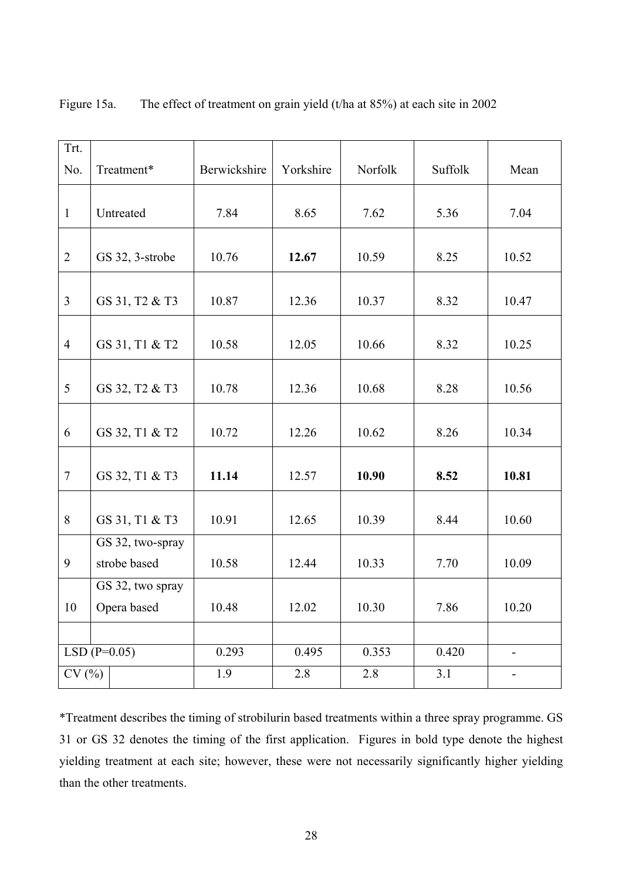| Trt.           |                  |              |           |         |         |                          |
|----------------|------------------|--------------|-----------|---------|---------|--------------------------|
| No.            | Treatment*       | Berwickshire | Yorkshire | Norfolk | Suffolk | Mean                     |
|                |                  |              |           |         |         |                          |
| $\mathbf{1}$   | Untreated        | 7.84         | 8.65      | 7.62    | 5.36    | 7.04                     |
|                |                  |              |           |         |         |                          |
| $\overline{2}$ | GS 32, 3-strobe  | 10.76        | 12.67     | 10.59   | 8.25    | 10.52                    |
|                |                  |              |           |         |         |                          |
| $\overline{3}$ | GS 31, T2 & T3   | 10.87        | 12.36     | 10.37   | 8.32    | 10.47                    |
|                |                  |              |           |         |         |                          |
| $\overline{4}$ | GS 31, T1 & T2   | 10.58        | 12.05     | 10.66   | 8.32    | 10.25                    |
|                |                  |              |           |         |         |                          |
| 5              | GS 32, T2 & T3   | 10.78        | 12.36     | 10.68   | 8.28    | 10.56                    |
|                |                  |              |           |         |         |                          |
| 6              | GS 32, T1 & T2   | 10.72        | 12.26     | 10.62   | 8.26    | 10.34                    |
|                |                  |              |           |         |         |                          |
| $\overline{7}$ | GS 32, T1 & T3   | 11.14        | 12.57     | 10.90   | 8.52    | 10.81                    |
|                |                  |              |           |         |         |                          |
| 8              | GS 31, T1 & T3   | 10.91        | 12.65     | 10.39   | 8.44    | 10.60                    |
|                | GS 32, two-spray |              |           |         |         |                          |
| 9              | strobe based     | 10.58        | 12.44     | 10.33   | 7.70    | 10.09                    |
|                | GS 32, two spray |              |           |         |         |                          |
| 10             | Opera based      | 10.48        | 12.02     | 10.30   | 7.86    | 10.20                    |
|                |                  |              |           |         |         |                          |
|                | $LSD(P=0.05)$    | 0.293        | 0.495     | 0.353   | 0.420   | $\overline{\phantom{0}}$ |
| CV(%)          |                  | 1.9          | 2.8       | 2.8     | 3.1     | $\blacksquare$           |

Figure 15a. The effect of treatment on grain yield (t/ha at 85%) at each site in 2002

\*Treatment describes the timing of strobilurin based treatments within a three spray programme. GS 31 or GS 32 denotes the timing of the first application. Figures in bold type denote the highest yielding treatment at each site; however, these were not necessarily significantly higher yielding than the other treatments.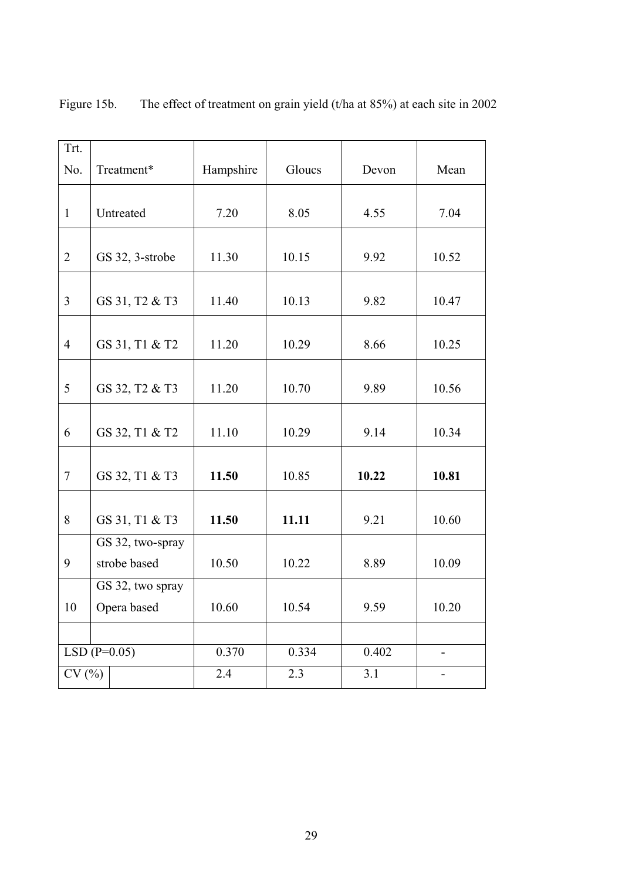| Trt.           |                                  |           |        |       |       |
|----------------|----------------------------------|-----------|--------|-------|-------|
| No.            | Treatment*                       | Hampshire | Gloucs | Devon | Mean  |
| $\mathbf{1}$   | Untreated                        | 7.20      | 8.05   | 4.55  | 7.04  |
| $\overline{2}$ | GS 32, 3-strobe                  | 11.30     | 10.15  | 9.92  | 10.52 |
| $\overline{3}$ | GS 31, T2 & T3                   | 11.40     | 10.13  | 9.82  | 10.47 |
| $\overline{4}$ | GS 31, T1 & T2                   | 11.20     | 10.29  | 8.66  | 10.25 |
| 5              | GS 32, T2 & T3                   | 11.20     | 10.70  | 9.89  | 10.56 |
| 6              | GS 32, T1 & T2                   | 11.10     | 10.29  | 9.14  | 10.34 |
| $\tau$         | GS 32, T1 & T3                   | 11.50     | 10.85  | 10.22 | 10.81 |
| 8              | GS 31, T1 & T3                   | 11.50     | 11.11  | 9.21  | 10.60 |
| 9              | GS 32, two-spray<br>strobe based | 10.50     | 10.22  | 8.89  | 10.09 |
|                | GS 32, two spray                 |           |        |       |       |
| 10             | Opera based                      | 10.60     | 10.54  | 9.59  | 10.20 |
|                |                                  |           |        |       |       |
|                | $LSD(P=0.05)$                    | 0.370     | 0.334  | 0.402 |       |
| CV(%)          |                                  | 2.4       | 2.3    | 3.1   |       |

Figure 15b. The effect of treatment on grain yield (t/ha at 85%) at each site in 2002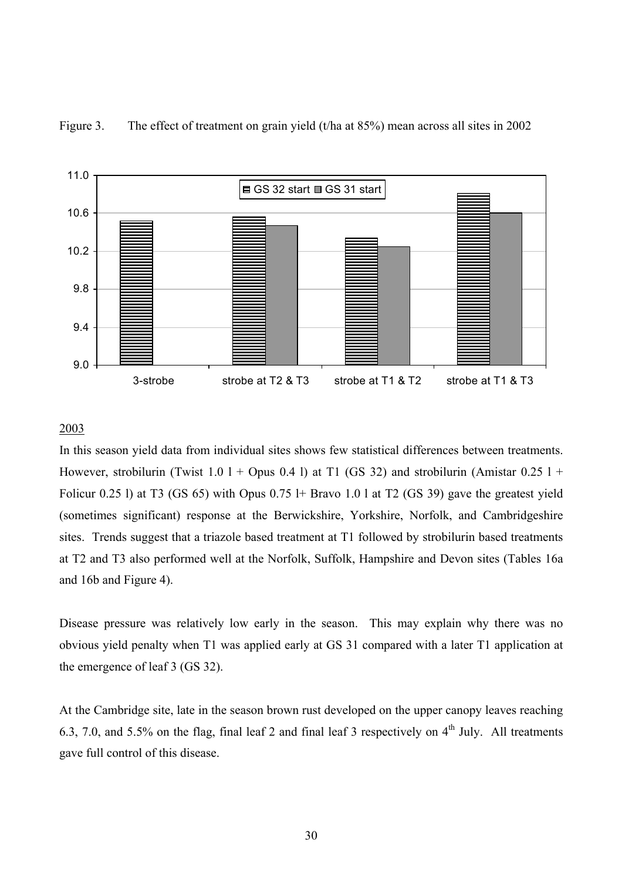



## 2003

In this season yield data from individual sites shows few statistical differences between treatments. However, strobilurin (Twist 1.0 l + Opus 0.4 l) at T1 (GS 32) and strobilurin (Amistar 0.25 l + Folicur 0.25 l) at T3 (GS 65) with Opus 0.75 l+ Bravo 1.0 l at T2 (GS 39) gave the greatest yield (sometimes significant) response at the Berwickshire, Yorkshire, Norfolk, and Cambridgeshire sites. Trends suggest that a triazole based treatment at T1 followed by strobilurin based treatments at T2 and T3 also performed well at the Norfolk, Suffolk, Hampshire and Devon sites (Tables 16a and 16b and Figure 4).

Disease pressure was relatively low early in the season. This may explain why there was no obvious yield penalty when T1 was applied early at GS 31 compared with a later T1 application at the emergence of leaf 3 (GS 32).

At the Cambridge site, late in the season brown rust developed on the upper canopy leaves reaching 6.3, 7.0, and 5.5% on the flag, final leaf 2 and final leaf 3 respectively on  $4<sup>th</sup>$  July. All treatments gave full control of this disease.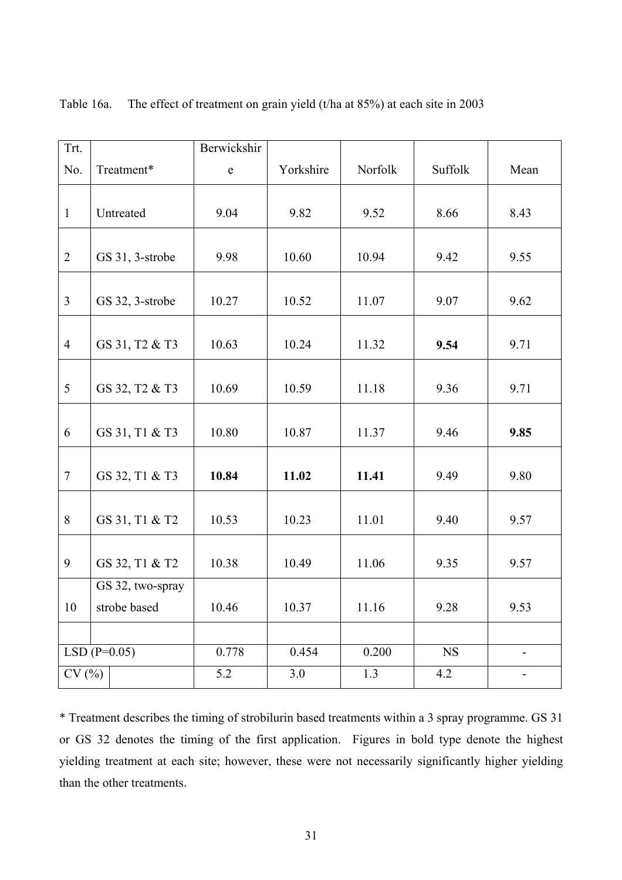| Trt.           |                  | Berwickshir |           |         |             |                |
|----------------|------------------|-------------|-----------|---------|-------------|----------------|
| No.            | Treatment*       | ${\bf e}$   | Yorkshire | Norfolk | Suffolk     | Mean           |
| $\mathbf{1}$   | Untreated        | 9.04        | 9.82      | 9.52    | 8.66        | 8.43           |
| $\overline{2}$ | GS 31, 3-strobe  | 9.98        | 10.60     | 10.94   | 9.42        | 9.55           |
| $\overline{3}$ | GS 32, 3-strobe  | 10.27       | 10.52     | 11.07   | 9.07        | 9.62           |
| $\overline{4}$ | GS 31, T2 & T3   | 10.63       | 10.24     | 11.32   | 9.54        | 9.71           |
| 5              | GS 32, T2 & T3   | 10.69       | 10.59     | 11.18   | 9.36        | 9.71           |
| 6              | GS 31, T1 & T3   | 10.80       | 10.87     | 11.37   | 9.46        | 9.85           |
| $\overline{7}$ | GS 32, T1 & T3   | 10.84       | 11.02     | 11.41   | 9.49        | 9.80           |
| 8              | GS 31, T1 & T2   | 10.53       | 10.23     | 11.01   | 9.40        | 9.57           |
| 9              | GS 32, T1 & T2   | 10.38       | 10.49     | 11.06   | 9.35        | 9.57           |
|                | GS 32, two-spray |             |           |         |             |                |
| 10             | strobe based     | 10.46       | 10.37     | 11.16   | 9.28        | 9.53           |
|                |                  |             |           |         |             |                |
|                | LSD $(P=0.05)$   | 0.778       | 0.454     | 0.200   | $_{\rm NS}$ | $\blacksquare$ |
| CV(%)          |                  | 5.2         | 3.0       | 1.3     | 4.2         | $\blacksquare$ |

Table 16a. The effect of treatment on grain yield (t/ha at 85%) at each site in 2003

\* Treatment describes the timing of strobilurin based treatments within a 3 spray programme. GS 31 or GS 32 denotes the timing of the first application. Figures in bold type denote the highest yielding treatment at each site; however, these were not necessarily significantly higher yielding than the other treatments.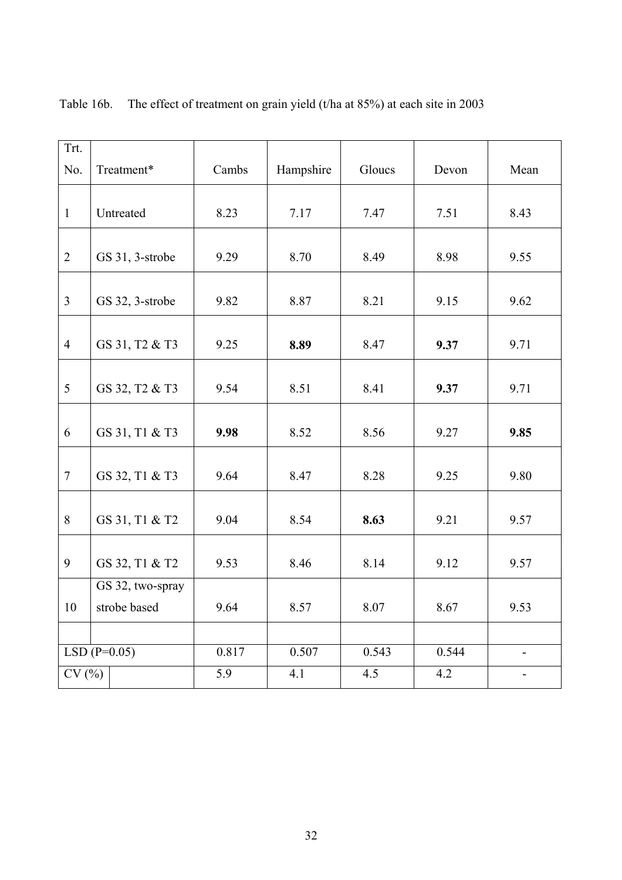| Trt.             |                           |       |           |        |       |                              |
|------------------|---------------------------|-------|-----------|--------|-------|------------------------------|
| No.              | Treatment*                | Cambs | Hampshire | Gloucs | Devon | Mean                         |
|                  |                           |       |           |        |       |                              |
| $\mathbf{1}$     | Untreated                 | 8.23  | 7.17      | 7.47   | 7.51  | 8.43                         |
|                  |                           |       |           |        |       |                              |
| $\overline{2}$   | GS 31, 3-strobe           | 9.29  | 8.70      | 8.49   | 8.98  | 9.55                         |
|                  |                           |       |           |        |       |                              |
| $\overline{3}$   | GS 32, 3-strobe           | 9.82  | 8.87      | 8.21   | 9.15  | 9.62                         |
|                  |                           |       |           |        |       |                              |
| $\overline{4}$   | GS 31, T2 & T3            | 9.25  | 8.89      | 8.47   | 9.37  | 9.71                         |
|                  |                           |       |           |        |       |                              |
| 5                | GS 32, T2 & T3            | 9.54  | 8.51      | 8.41   | 9.37  | 9.71                         |
|                  |                           |       |           |        |       |                              |
| 6                | GS 31, T1 & T3            | 9.98  | 8.52      | 8.56   | 9.27  | 9.85                         |
|                  |                           |       |           |        |       |                              |
| $\boldsymbol{7}$ | GS 32, T1 & T3            | 9.64  | 8.47      | 8.28   | 9.25  | 9.80                         |
|                  |                           |       |           |        |       |                              |
| 8                | GS 31, T1 & T2            | 9.04  | 8.54      | 8.63   | 9.21  | 9.57                         |
|                  |                           |       |           |        |       |                              |
| 9                | GS 32, T1 & T2            | 9.53  | 8.46      | 8.14   | 9.12  | 9.57                         |
|                  | GS 32, two-spray          |       |           |        |       |                              |
| 10               | strobe based              | 9.64  | 8.57      | 8.07   | 8.67  | 9.53                         |
|                  |                           |       |           |        |       |                              |
|                  | LSD $(\overline{P=0.05})$ | 0.817 | 0.507     | 0.543  | 0.544 | $\blacksquare$               |
| CV(%)            |                           | 5.9   | 4.1       | 4.5    | 4.2   | $\qquad \qquad \blacksquare$ |

Table 16b. The effect of treatment on grain yield (t/ha at 85%) at each site in 2003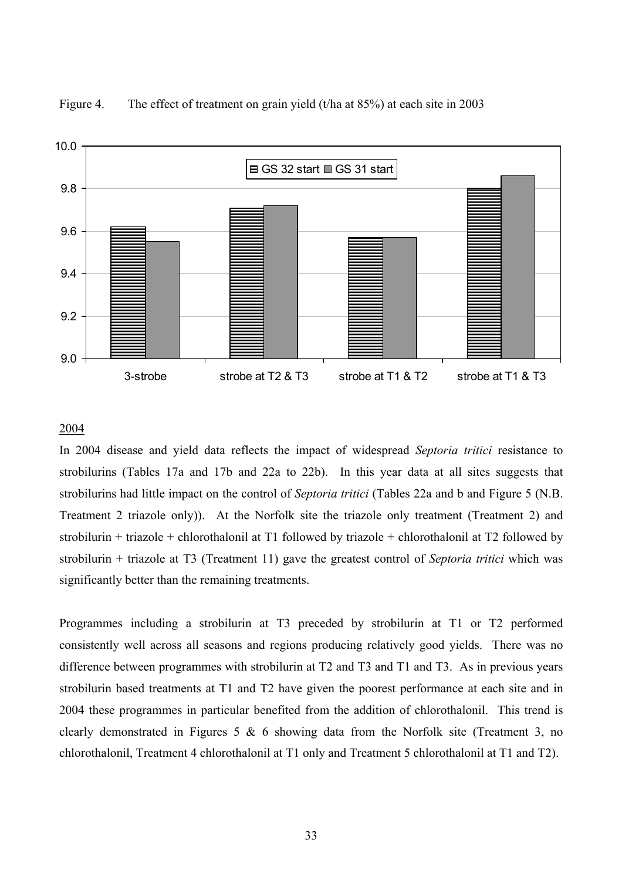



#### 2004

In 2004 disease and yield data reflects the impact of widespread *Septoria tritici* resistance to strobilurins (Tables 17a and 17b and 22a to 22b). In this year data at all sites suggests that strobilurins had little impact on the control of *Septoria tritici* (Tables 22a and b and Figure 5 (N.B. Treatment 2 triazole only)). At the Norfolk site the triazole only treatment (Treatment 2) and strobilurin + triazole + chlorothalonil at T1 followed by triazole + chlorothalonil at T2 followed by strobilurin + triazole at T3 (Treatment 11) gave the greatest control of *Septoria tritici* which was significantly better than the remaining treatments.

Programmes including a strobilurin at T3 preceded by strobilurin at T1 or T2 performed consistently well across all seasons and regions producing relatively good yields. There was no difference between programmes with strobilurin at T2 and T3 and T1 and T3. As in previous years strobilurin based treatments at T1 and T2 have given the poorest performance at each site and in 2004 these programmes in particular benefited from the addition of chlorothalonil. This trend is clearly demonstrated in Figures 5  $\&$  6 showing data from the Norfolk site (Treatment 3, no chlorothalonil, Treatment 4 chlorothalonil at T1 only and Treatment 5 chlorothalonil at T1 and T2).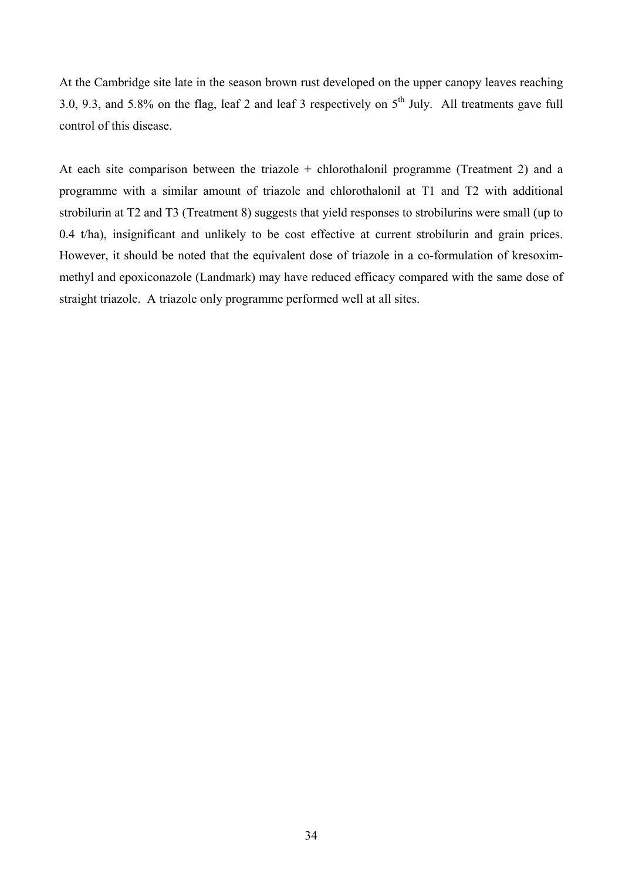At the Cambridge site late in the season brown rust developed on the upper canopy leaves reaching 3.0, 9.3, and 5.8% on the flag, leaf 2 and leaf 3 respectively on  $5<sup>th</sup>$  July. All treatments gave full control of this disease.

At each site comparison between the triazole + chlorothalonil programme (Treatment 2) and a programme with a similar amount of triazole and chlorothalonil at T1 and T2 with additional strobilurin at T2 and T3 (Treatment 8) suggests that yield responses to strobilurins were small (up to 0.4 t/ha), insignificant and unlikely to be cost effective at current strobilurin and grain prices. However, it should be noted that the equivalent dose of triazole in a co-formulation of kresoximmethyl and epoxiconazole (Landmark) may have reduced efficacy compared with the same dose of straight triazole. A triazole only programme performed well at all sites.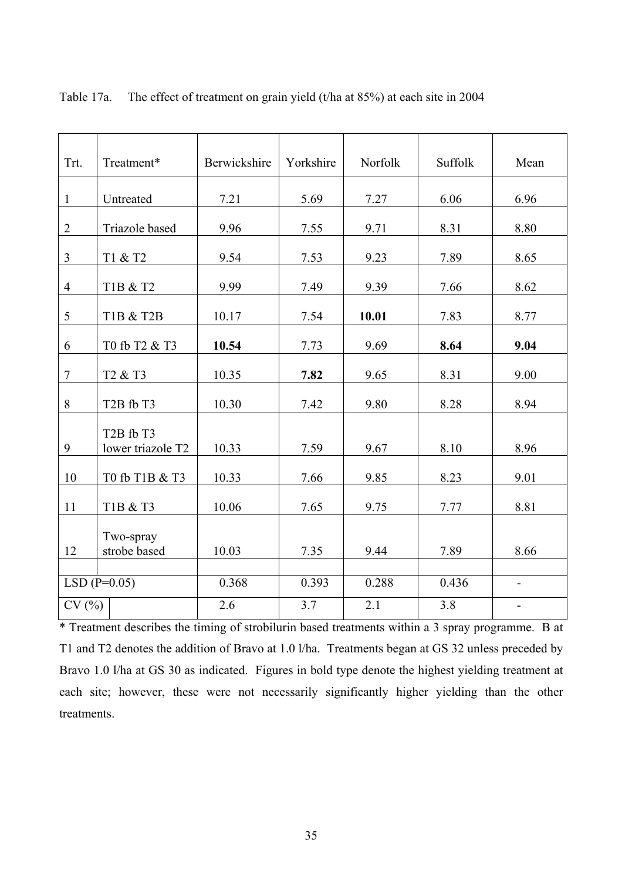| Trt.           | Treatment*                                              | Berwickshire | Yorkshire | Norfolk | Suffolk | Mean                     |
|----------------|---------------------------------------------------------|--------------|-----------|---------|---------|--------------------------|
| $\mathbf{1}$   | Untreated                                               | 7.21         | 5.69      | 7.27    | 6.06    | 6.96                     |
| $\overline{2}$ | Triazole based                                          | 9.96         | 7.55      | 9.71    | 8.31    | 8.80                     |
| $\overline{3}$ | T1 & T2                                                 | 9.54         | 7.53      | 9.23    | 7.89    | 8.65                     |
| $\overline{4}$ | T1B & T2                                                | 9.99         | 7.49      | 9.39    | 7.66    | 8.62                     |
| 5              | T1B & T2B                                               | 10.17        | 7.54      | 10.01   | 7.83    | 8.77                     |
| 6              | T0 fb T2 & T3                                           | 10.54        | 7.73      | 9.69    | 8.64    | 9.04                     |
| $\overline{7}$ | T <sub>2</sub> & T <sub>3</sub>                         | 10.35        | 7.82      | 9.65    | 8.31    | 9.00                     |
| 8              | T <sub>2</sub> B fb T <sub>3</sub>                      | 10.30        | 7.42      | 9.80    | 8.28    | 8.94                     |
| 9              | T <sub>2</sub> B fb T <sub>3</sub><br>lower triazole T2 | 10.33        | 7.59      | 9.67    | 8.10    | 8.96                     |
| 10             | T0 fb T1B & T3                                          | 10.33        | 7.66      | 9.85    | 8.23    | 9.01                     |
| 11             | T1B & T3                                                | 10.06        | 7.65      | 9.75    | 7.77    | 8.81                     |
| 12             | Two-spray<br>strobe based                               | 10.03        | 7.35      | 9.44    | 7.89    | 8.66                     |
|                | $LSD(P=0.05)$                                           | 0.368        | 0.393     | 0.288   | 0.436   | $\blacksquare$           |
| CV(%)          |                                                         | 2.6          | 3.7       | 2.1     | 3.8     | $\overline{\phantom{0}}$ |

Table 17a. The effect of treatment on grain yield (t/ha at 85%) at each site in 2004

\* Treatment describes the timing of strobilurin based treatments within a 3 spray programme. B at T1 and T2 denotes the addition of Bravo at 1.0 l/ha. Treatments began at GS 32 unless preceded by Bravo 1.0 *l/ha at GS* 30 as indicated. Figures in bold type denote the highest yielding treatment at each site; however, these were not necessarily significantly higher yielding than the other treatments.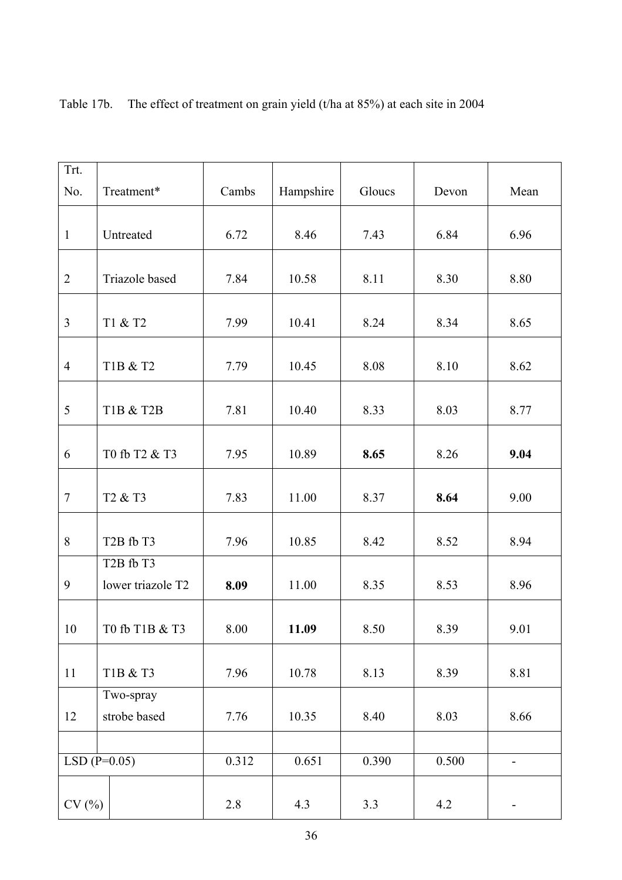| Trt.           |                                                         |       |           |        |       |                          |
|----------------|---------------------------------------------------------|-------|-----------|--------|-------|--------------------------|
| No.            | Treatment*                                              | Cambs | Hampshire | Gloucs | Devon | Mean                     |
|                |                                                         |       |           |        |       |                          |
| $\mathbf{1}$   | Untreated                                               | 6.72  | 8.46      | 7.43   | 6.84  | 6.96                     |
|                |                                                         |       |           |        |       |                          |
| $\overline{2}$ | Triazole based                                          | 7.84  | 10.58     | 8.11   | 8.30  | 8.80                     |
| $\overline{3}$ | T1 & T2                                                 | 7.99  | 10.41     | 8.24   | 8.34  | 8.65                     |
| $\overline{4}$ | T1B & T2                                                | 7.79  | 10.45     | 8.08   | 8.10  | 8.62                     |
|                |                                                         |       |           |        |       |                          |
| 5              | <b>T1B &amp; T2B</b>                                    | 7.81  | 10.40     | 8.33   | 8.03  | 8.77                     |
| 6              | T0 fb T2 & T3                                           | 7.95  | 10.89     | 8.65   | 8.26  | 9.04                     |
| $\tau$         | T <sub>2</sub> & T <sub>3</sub>                         | 7.83  | 11.00     | 8.37   | 8.64  | 9.00                     |
| 8              | T <sub>2</sub> B fb T <sub>3</sub>                      | 7.96  | 10.85     | 8.42   | 8.52  | 8.94                     |
| 9              | T <sub>2</sub> B fb T <sub>3</sub><br>lower triazole T2 | 8.09  | 11.00     | 8.35   | 8.53  | 8.96                     |
| 10             | T0 fb T1B & T3                                          | 8.00  | 11.09     | 8.50   | 8.39  | 9.01                     |
| 11             | T1B & T3                                                | 7.96  | 10.78     | 8.13   | 8.39  | 8.81                     |
|                | Two-spray                                               |       |           |        |       |                          |
| 12             | strobe based                                            | 7.76  | 10.35     | 8.40   | 8.03  | 8.66                     |
|                |                                                         |       |           |        |       |                          |
|                | $LSD(P=0.05)$                                           | 0.312 | 0.651     | 0.390  | 0.500 | $\overline{\phantom{0}}$ |
| CV(%)          |                                                         | 2.8   | 4.3       | 3.3    | 4.2   | $\blacksquare$           |

Table 17b. The effect of treatment on grain yield (t/ha at 85%) at each site in 2004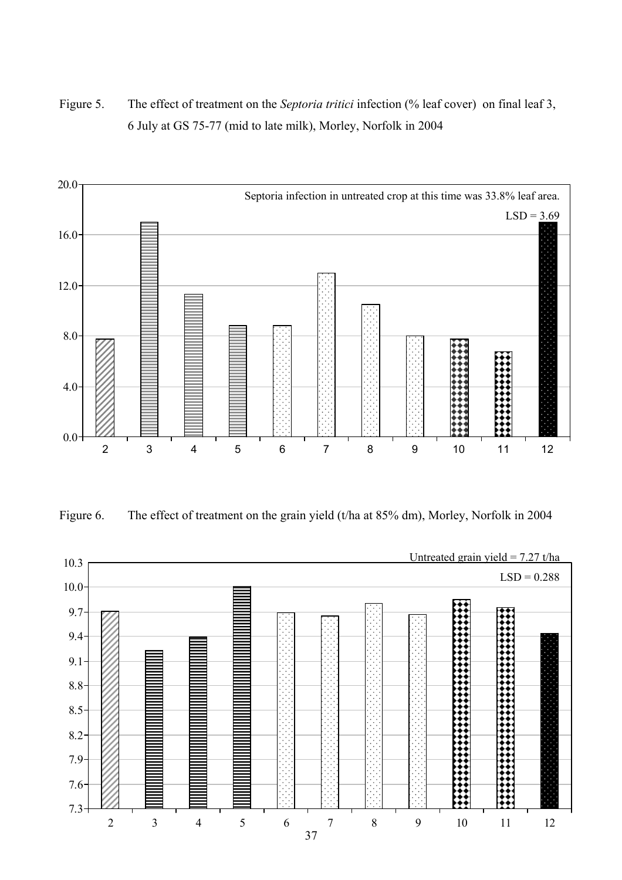Figure 5. The effect of treatment on the *Septoria tritici* infection (% leaf cover) on final leaf 3, 6 July at GS 75-77 (mid to late milk), Morley, Norfolk in 2004



Figure 6. The effect of treatment on the grain yield (t/ha at 85% dm), Morley, Norfolk in 2004

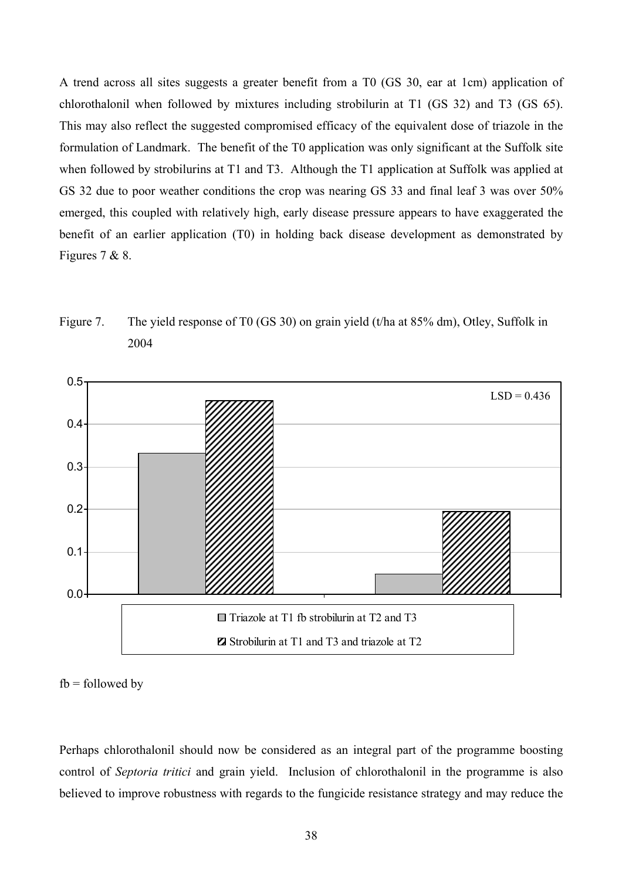A trend across all sites suggests a greater benefit from a T0 (GS 30, ear at 1cm) application of chlorothalonil when followed by mixtures including strobilurin at T1 (GS 32) and T3 (GS 65). This may also reflect the suggested compromised efficacy of the equivalent dose of triazole in the formulation of Landmark. The benefit of the T0 application was only significant at the Suffolk site when followed by strobilurins at T1 and T3. Although the T1 application at Suffolk was applied at GS 32 due to poor weather conditions the crop was nearing GS 33 and final leaf 3 was over 50% emerged, this coupled with relatively high, early disease pressure appears to have exaggerated the benefit of an earlier application (T0) in holding back disease development as demonstrated by Figures 7 & 8.





 $fb = followed by$ 

Perhaps chlorothalonil should now be considered as an integral part of the programme boosting control of *Septoria tritici* and grain yield. Inclusion of chlorothalonil in the programme is also believed to improve robustness with regards to the fungicide resistance strategy and may reduce the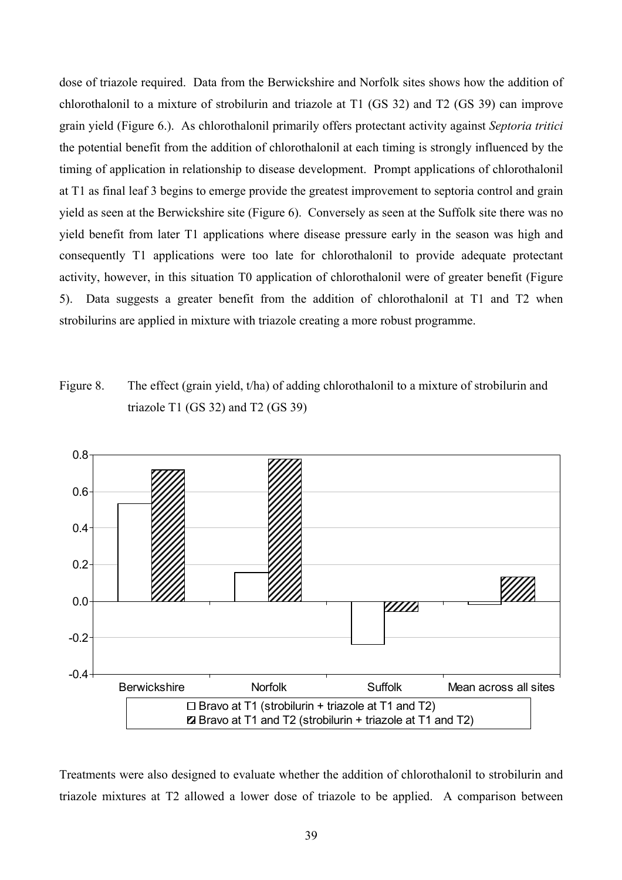dose of triazole required. Data from the Berwickshire and Norfolk sites shows how the addition of chlorothalonil to a mixture of strobilurin and triazole at T1 (GS 32) and T2 (GS 39) can improve grain yield (Figure 6.). As chlorothalonil primarily offers protectant activity against *Septoria tritici* the potential benefit from the addition of chlorothalonil at each timing is strongly influenced by the timing of application in relationship to disease development. Prompt applications of chlorothalonil at T1 as final leaf 3 begins to emerge provide the greatest improvement to septoria control and grain yield as seen at the Berwickshire site (Figure 6). Conversely as seen at the Suffolk site there was no yield benefit from later T1 applications where disease pressure early in the season was high and consequently T1 applications were too late for chlorothalonil to provide adequate protectant activity, however, in this situation T0 application of chlorothalonil were of greater benefit (Figure 5). Data suggests a greater benefit from the addition of chlorothalonil at T1 and T2 when strobilurins are applied in mixture with triazole creating a more robust programme.

Figure 8. The effect (grain yield, t/ha) of adding chlorothalonil to a mixture of strobilurin and triazole T1 (GS 32) and T2 (GS 39)



Treatments were also designed to evaluate whether the addition of chlorothalonil to strobilurin and triazole mixtures at T2 allowed a lower dose of triazole to be applied. A comparison between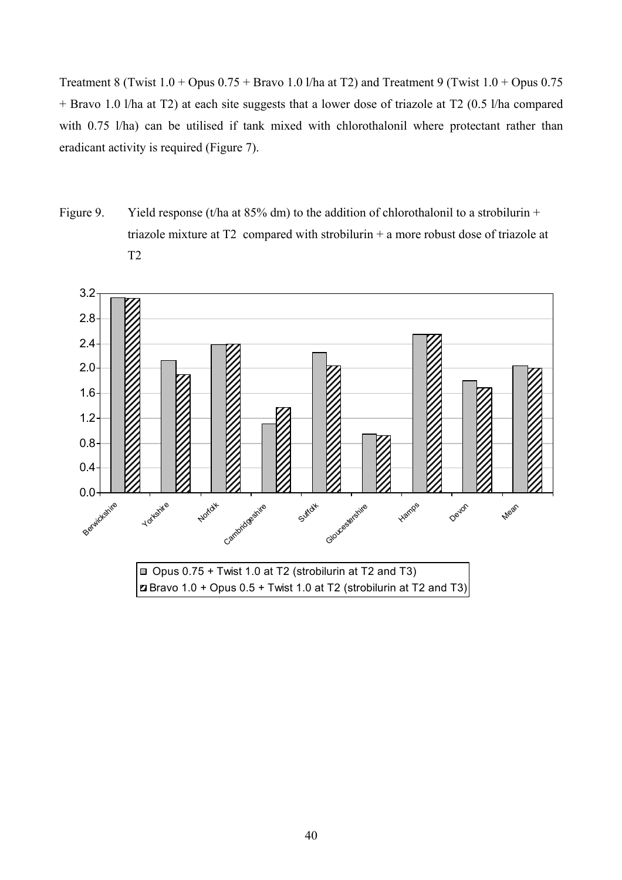Treatment 8 (Twist  $1.0 +$  Opus  $0.75 +$  Bravo  $1.0$  I/ha at T2) and Treatment 9 (Twist  $1.0 +$  Opus  $0.75$ + Bravo 1.0 l/ha at T2) at each site suggests that a lower dose of triazole at T2 (0.5 l/ha compared with 0.75 l/ha) can be utilised if tank mixed with chlorothalonil where protectant rather than eradicant activity is required (Figure 7).

Figure 9. Yield response (t/ha at  $85\%$  dm) to the addition of chlorothalonil to a strobilurin + triazole mixture at T2 compared with strobilurin + a more robust dose of triazole at T2

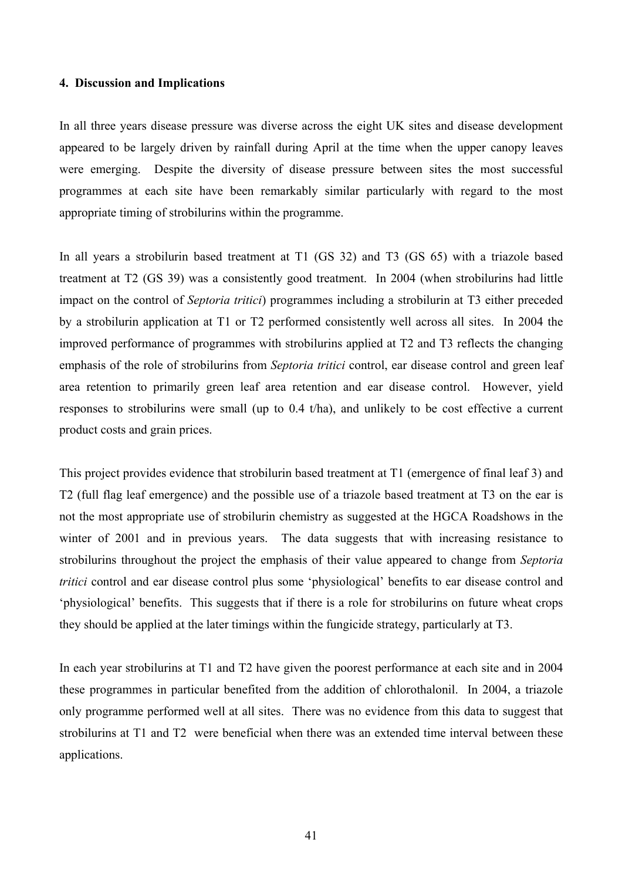#### **4. Discussion and Implications**

In all three years disease pressure was diverse across the eight UK sites and disease development appeared to be largely driven by rainfall during April at the time when the upper canopy leaves were emerging. Despite the diversity of disease pressure between sites the most successful programmes at each site have been remarkably similar particularly with regard to the most appropriate timing of strobilurins within the programme.

In all years a strobilurin based treatment at T1 (GS 32) and T3 (GS 65) with a triazole based treatment at T2 (GS 39) was a consistently good treatment. In 2004 (when strobilurins had little impact on the control of *Septoria tritici*) programmes including a strobilurin at T3 either preceded by a strobilurin application at T1 or T2 performed consistently well across all sites. In 2004 the improved performance of programmes with strobilurins applied at T2 and T3 reflects the changing emphasis of the role of strobilurins from *Septoria tritici* control, ear disease control and green leaf area retention to primarily green leaf area retention and ear disease control. However, yield responses to strobilurins were small (up to 0.4 t/ha), and unlikely to be cost effective a current product costs and grain prices.

This project provides evidence that strobilurin based treatment at T1 (emergence of final leaf 3) and T2 (full flag leaf emergence) and the possible use of a triazole based treatment at T3 on the ear is not the most appropriate use of strobilurin chemistry as suggested at the HGCA Roadshows in the winter of 2001 and in previous years. The data suggests that with increasing resistance to strobilurins throughout the project the emphasis of their value appeared to change from *Septoria tritici* control and ear disease control plus some 'physiological' benefits to ear disease control and 'physiological' benefits. This suggests that if there is a role for strobilurins on future wheat crops they should be applied at the later timings within the fungicide strategy, particularly at T3.

In each year strobilurins at T1 and T2 have given the poorest performance at each site and in 2004 these programmes in particular benefited from the addition of chlorothalonil. In 2004, a triazole only programme performed well at all sites. There was no evidence from this data to suggest that strobilurins at T1 and T2 were beneficial when there was an extended time interval between these applications.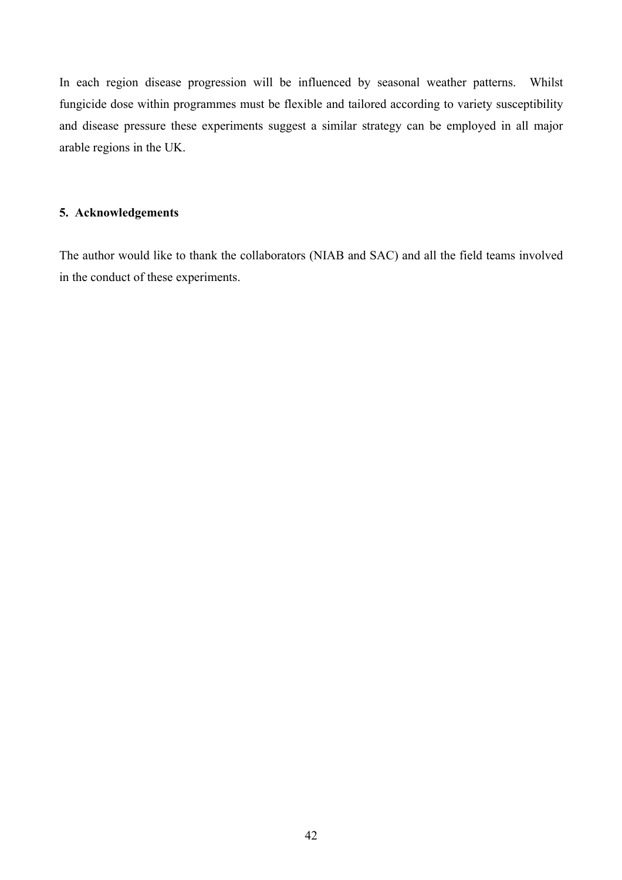In each region disease progression will be influenced by seasonal weather patterns. Whilst fungicide dose within programmes must be flexible and tailored according to variety susceptibility and disease pressure these experiments suggest a similar strategy can be employed in all major arable regions in the UK.

## **5. Acknowledgements**

The author would like to thank the collaborators (NIAB and SAC) and all the field teams involved in the conduct of these experiments.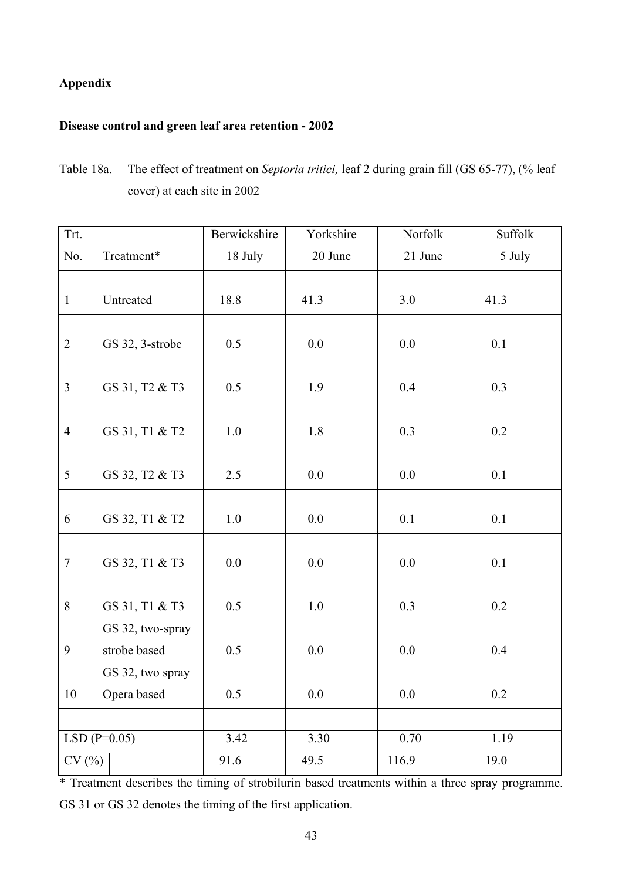## **Appendix**

## **Disease control and green leaf area retention - 2002**

Table 18a. The effect of treatment on *Septoria tritici,* leaf 2 during grain fill (GS 65-77), (% leaf cover) at each site in 2002

| Trt.           |                  | Berwickshire | Yorkshire | Norfolk | Suffolk |
|----------------|------------------|--------------|-----------|---------|---------|
| No.            | Treatment*       | 18 July      | 20 June   | 21 June | 5 July  |
|                |                  |              |           |         |         |
| $\mathbf{1}$   | Untreated        | 18.8         | 41.3      | 3.0     | 41.3    |
|                |                  |              |           |         |         |
| $\overline{2}$ | GS 32, 3-strobe  | 0.5          | 0.0       | 0.0     | 0.1     |
|                |                  |              |           |         |         |
| $\overline{3}$ | GS 31, T2 & T3   | 0.5          | 1.9       | 0.4     | 0.3     |
|                |                  |              |           |         |         |
| $\overline{4}$ | GS 31, T1 & T2   | 1.0          | 1.8       | 0.3     | 0.2     |
|                |                  |              |           |         |         |
| 5              | GS 32, T2 & T3   | 2.5          | 0.0       | 0.0     | 0.1     |
|                |                  |              |           |         |         |
| 6              | GS 32, T1 & T2   | 1.0          | 0.0       | 0.1     | 0.1     |
|                |                  |              |           |         |         |
| $\overline{7}$ | GS 32, T1 & T3   | 0.0          | 0.0       | 0.0     | 0.1     |
| 8              |                  |              |           |         |         |
|                | GS 31, T1 & T3   | 0.5          | $1.0\,$   | 0.3     | 0.2     |
|                | GS 32, two-spray |              |           |         |         |
| 9              | strobe based     | 0.5          | 0.0       | 0.0     | 0.4     |
|                | GS 32, two spray |              |           |         |         |
| 10             | Opera based      | 0.5          | 0.0       | 0.0     | 0.2     |
|                |                  |              |           |         |         |
|                | $LSD(P=0.05)$    | 3.42         | 3.30      | 0.70    | 1.19    |
| CV(%)          |                  | 91.6         | 49.5      | 116.9   | 19.0    |

\* Treatment describes the timing of strobilurin based treatments within a three spray programme. GS 31 or GS 32 denotes the timing of the first application.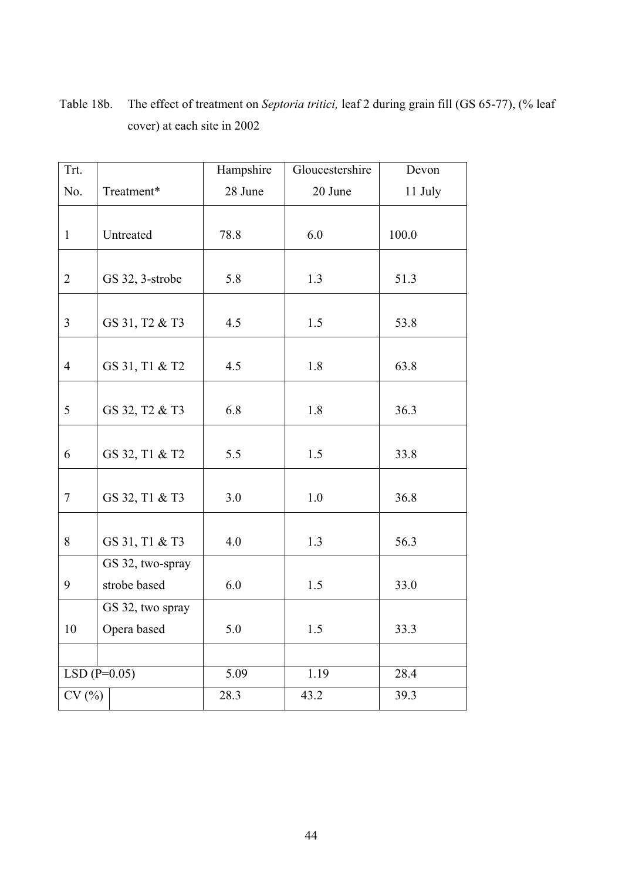| Trt.           |                  | Hampshire | Gloucestershire | Devon   |
|----------------|------------------|-----------|-----------------|---------|
| No.            | Treatment*       | 28 June   | 20 June         | 11 July |
|                |                  |           |                 |         |
| $\mathbf{1}$   | Untreated        | 78.8      | 6.0             | 100.0   |
|                |                  |           |                 |         |
| $\overline{2}$ | GS 32, 3-strobe  | 5.8       | 1.3             | 51.3    |
|                |                  |           |                 |         |
| $\mathfrak{Z}$ | GS 31, T2 & T3   | 4.5       | 1.5             | 53.8    |
|                |                  |           |                 |         |
| $\overline{4}$ | GS 31, T1 & T2   | 4.5       | 1.8             | 63.8    |
|                |                  |           |                 |         |
| 5              | GS 32, T2 & T3   | 6.8       | 1.8             | 36.3    |
|                |                  |           |                 |         |
| 6              | GS 32, T1 & T2   | 5.5       | 1.5             | 33.8    |
|                |                  |           |                 |         |
| $\tau$         | GS 32, T1 & T3   | 3.0       | 1.0             | 36.8    |
|                |                  |           |                 |         |
| 8              | GS 31, T1 & T3   | 4.0       | 1.3             | 56.3    |
|                | GS 32, two-spray |           |                 |         |
| 9              | strobe based     | 6.0       | 1.5             | 33.0    |
|                | GS 32, two spray |           |                 |         |
| 10             | Opera based      | 5.0       | 1.5             | 33.3    |
|                |                  |           |                 |         |
|                | $LSD(P=0.05)$    | 5.09      | 1.19            | 28.4    |
| CV(%)          |                  | 28.3      | 43.2            | 39.3    |

Table 18b. The effect of treatment on *Septoria tritici,* leaf 2 during grain fill (GS 65-77), (% leaf cover) at each site in 2002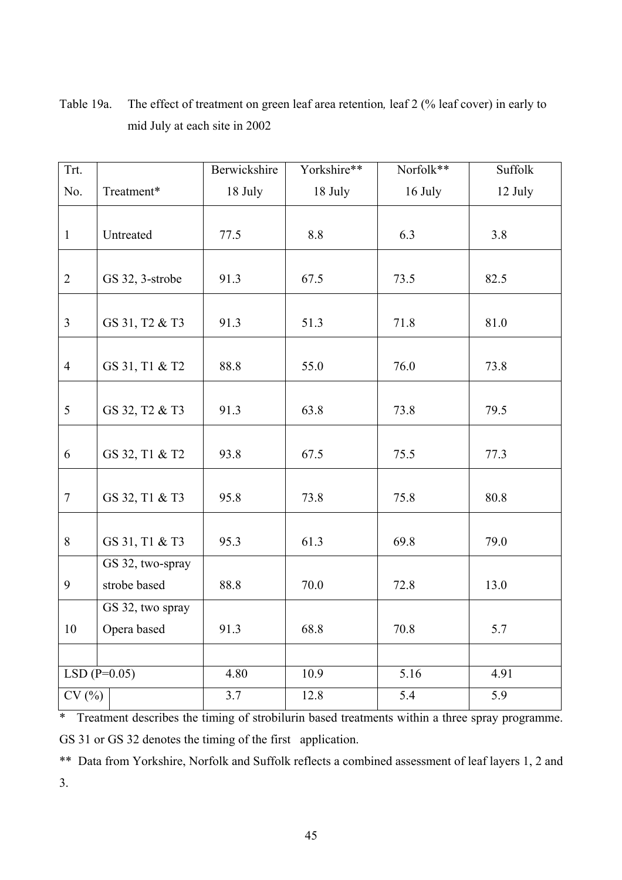| Trt.           |                  | Berwickshire | Yorkshire** | Norfolk** | Suffolk |
|----------------|------------------|--------------|-------------|-----------|---------|
| No.            | Treatment*       | 18 July      | 18 July     | 16 July   | 12 July |
|                |                  |              |             |           |         |
| $\mathbf{1}$   | Untreated        | 77.5         | $8.8\,$     | 6.3       | 3.8     |
|                |                  |              |             |           |         |
| $\overline{2}$ | GS 32, 3-strobe  | 91.3         | 67.5        | 73.5      | 82.5    |
|                |                  |              |             |           |         |
| $\overline{3}$ | GS 31, T2 & T3   | 91.3         | 51.3        | 71.8      | 81.0    |
|                |                  |              |             |           |         |
| $\overline{4}$ | GS 31, T1 & T2   | 88.8         | 55.0        | 76.0      | 73.8    |
|                |                  |              |             |           |         |
| 5              | GS 32, T2 & T3   | 91.3         | 63.8        | 73.8      | 79.5    |
|                |                  |              |             |           |         |
| 6              | GS 32, T1 & T2   | 93.8         | 67.5        | 75.5      | 77.3    |
|                |                  |              |             |           |         |
| $7\phantom{.}$ | GS 32, T1 & T3   | 95.8         | 73.8        | 75.8      | 80.8    |
|                |                  |              |             |           |         |
| 8              | GS 31, T1 & T3   | 95.3         | 61.3        | 69.8      | 79.0    |
|                | GS 32, two-spray |              |             |           |         |
| 9              | strobe based     | 88.8         | 70.0        | 72.8      | 13.0    |
|                | GS 32, two spray |              |             |           |         |
| 10             | Opera based      | 91.3         | 68.8        | 70.8      | 5.7     |
|                |                  |              |             |           |         |
|                | $LSD(P=0.05)$    | 4.80         | 10.9        | 5.16      | 4.91    |
| CV(%)          |                  | 3.7          | 12.8        | 5.4       | 5.9     |

Table 19a. The effect of treatment on green leaf area retention, leaf 2 (% leaf cover) in early to mid July at each site in 2002

\* Treatment describes the timing of strobilurin based treatments within a three spray programme. GS 31 or GS 32 denotes the timing of the first application.

\*\* Data from Yorkshire, Norfolk and Suffolk reflects a combined assessment of leaf layers 1, 2 and 3.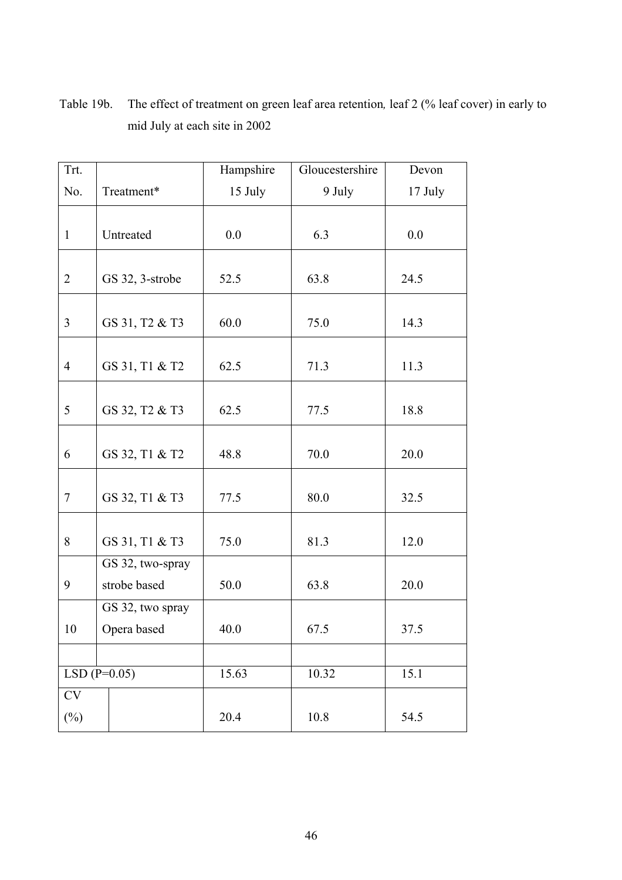| Trt.           |                  | Hampshire | Gloucestershire | Devon   |
|----------------|------------------|-----------|-----------------|---------|
| No.            | Treatment*       | 15 July   | 9 July          | 17 July |
|                |                  |           |                 |         |
| $\mathbf{1}$   | Untreated        | 0.0       | 6.3             | 0.0     |
|                |                  |           |                 |         |
| $\overline{2}$ | GS 32, 3-strobe  | 52.5      | 63.8            | 24.5    |
|                |                  |           |                 |         |
| $\overline{3}$ | GS 31, T2 & T3   | 60.0      | 75.0            | 14.3    |
|                |                  |           |                 |         |
| $\overline{4}$ | GS 31, T1 & T2   | 62.5      | 71.3            | 11.3    |
|                |                  |           |                 |         |
| 5              | GS 32, T2 & T3   | 62.5      | 77.5            | 18.8    |
|                |                  |           |                 |         |
| 6              | GS 32, T1 & T2   | 48.8      | 70.0            | 20.0    |
|                |                  |           |                 |         |
| $\tau$         | GS 32, T1 & T3   | 77.5      | 80.0            | 32.5    |
|                |                  |           |                 |         |
| 8              | GS 31, T1 & T3   | 75.0      | 81.3            | 12.0    |
|                | GS 32, two-spray |           |                 |         |
| 9              | strobe based     | 50.0      | 63.8            | 20.0    |
|                | GS 32, two spray |           |                 |         |
| 10             | Opera based      | 40.0      | 67.5            | 37.5    |
|                |                  |           |                 |         |
|                | $LSD(P=0.05)$    | 15.63     | 10.32           | 15.1    |
| $\mathrm{CV}$  |                  |           |                 |         |
| $(\%)$         |                  | 20.4      | 10.8            | 54.5    |

Table 19b. The effect of treatment on green leaf area retention, leaf 2 (% leaf cover) in early to mid July at each site in 2002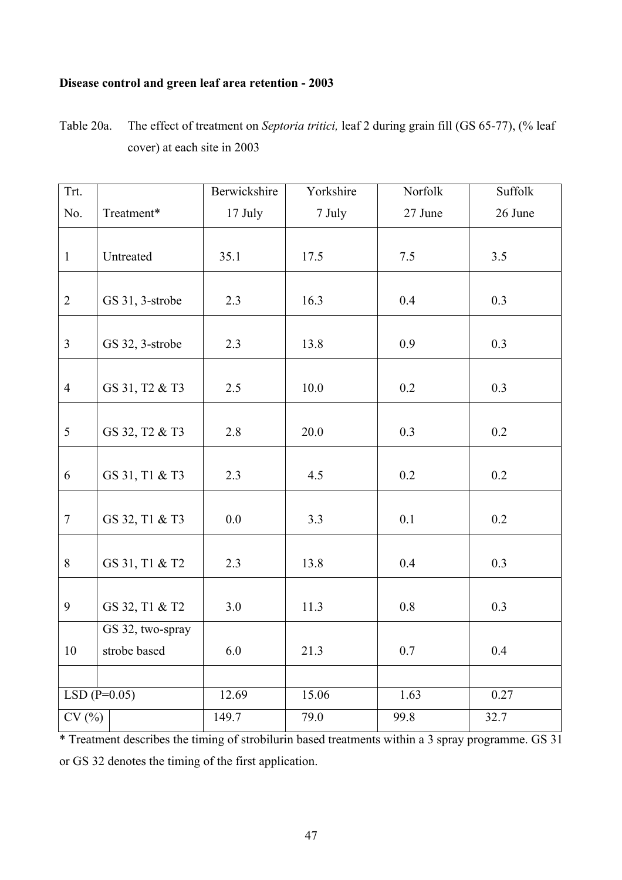## **Disease control and green leaf area retention - 2003**

Table 20a. The effect of treatment on *Septoria tritici,* leaf 2 during grain fill (GS 65-77), (% leaf cover) at each site in 2003

| Trt.           |                  | Berwickshire | Yorkshire | Norfolk | Suffolk |
|----------------|------------------|--------------|-----------|---------|---------|
| No.            | Treatment*       | 17 July      | 7 July    | 27 June | 26 June |
|                |                  |              |           |         |         |
| $\mathbf{1}$   | Untreated        | 35.1         | 17.5      | 7.5     | 3.5     |
|                |                  |              |           |         |         |
| $\overline{2}$ | GS 31, 3-strobe  | 2.3          | 16.3      | 0.4     | 0.3     |
|                |                  |              |           |         |         |
| $\overline{3}$ | GS 32, 3-strobe  | 2.3          | 13.8      | 0.9     | 0.3     |
|                |                  |              |           |         |         |
| $\overline{4}$ | GS 31, T2 & T3   | 2.5          | $10.0$    | 0.2     | 0.3     |
|                |                  |              |           |         |         |
| 5              | GS 32, T2 & T3   | 2.8          | 20.0      | 0.3     | 0.2     |
|                |                  |              |           |         |         |
| 6              | GS 31, T1 & T3   | 2.3          | 4.5       | 0.2     | 0.2     |
|                |                  |              |           |         |         |
| $\overline{7}$ | GS 32, T1 & T3   | 0.0          | 3.3       | 0.1     | 0.2     |
| 8              | GS 31, T1 & T2   | 2.3          | 13.8      | 0.4     | 0.3     |
|                |                  |              |           |         |         |
| 9              | GS 32, T1 & T2   | 3.0          | 11.3      | $0.8\,$ | 0.3     |
|                | GS 32, two-spray |              |           |         |         |
| 10             | strobe based     | 6.0          | 21.3      | 0.7     | 0.4     |
|                |                  |              |           |         |         |
|                | $LSD(P=0.05)$    | 12.69        | 15.06     | 1.63    | 0.27    |
| CV(%)          |                  | 149.7        | 79.0      | 99.8    | 32.7    |

\* Treatment describes the timing of strobilurin based treatments within a 3 spray programme. GS 31 or GS 32 denotes the timing of the first application.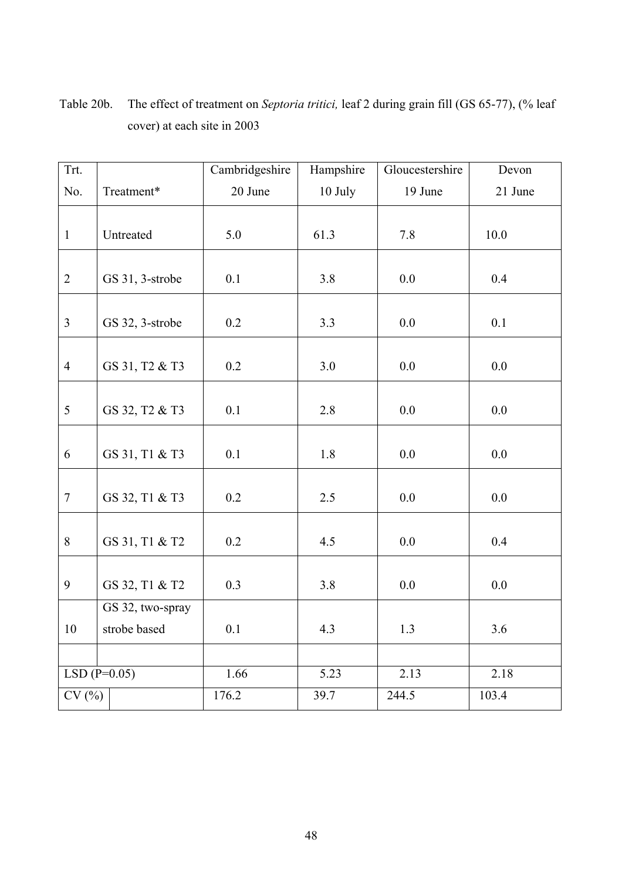| Trt.           |                  | Cambridgeshire | Hampshire | Gloucestershire | Devon   |
|----------------|------------------|----------------|-----------|-----------------|---------|
| No.            | Treatment*       | 20 June        | 10 July   | 19 June         | 21 June |
|                |                  |                |           |                 |         |
| $\mathbf{1}$   | Untreated        | 5.0            | 61.3      | 7.8             | 10.0    |
|                |                  |                |           |                 |         |
| $\overline{2}$ | GS 31, 3-strobe  | 0.1            | 3.8       | 0.0             | 0.4     |
|                |                  |                |           |                 |         |
| $\overline{3}$ | GS 32, 3-strobe  | 0.2            | 3.3       | 0.0             | 0.1     |
|                |                  |                |           |                 |         |
| $\overline{4}$ | GS 31, T2 & T3   | 0.2            | 3.0       | 0.0             | 0.0     |
|                |                  |                |           |                 |         |
| 5              | GS 32, T2 & T3   | 0.1            | 2.8       | $0.0\,$         | 0.0     |
|                |                  |                |           |                 |         |
| 6              | GS 31, T1 & T3   | 0.1            | 1.8       | 0.0             | 0.0     |
|                |                  |                |           |                 |         |
| $\tau$         | GS 32, T1 & T3   | 0.2            | 2.5       | $0.0\,$         | 0.0     |
|                |                  |                |           |                 |         |
| 8              | GS 31, T1 & T2   | 0.2            | 4.5       | 0.0             | 0.4     |
|                |                  |                |           |                 |         |
| 9              | GS 32, T1 & T2   | 0.3            | 3.8       | 0.0             | $0.0\,$ |
|                | GS 32, two-spray |                |           |                 |         |
| 10             | strobe based     | 0.1            | 4.3       | 1.3             | 3.6     |
|                |                  |                |           |                 |         |
|                | $LSD(P=0.05)$    | 1.66           | 5.23      | 2.13            | 2.18    |
| CV(%)          |                  | 176.2          | 39.7      | 244.5           | 103.4   |

Table 20b. The effect of treatment on *Septoria tritici,* leaf 2 during grain fill (GS 65-77), (% leaf cover) at each site in 2003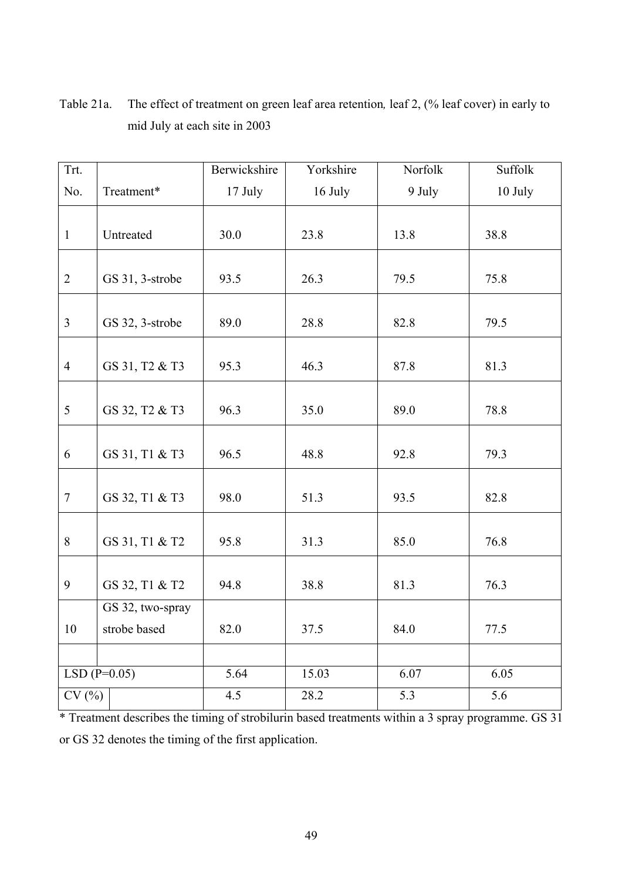| Trt.           |                  | Berwickshire | Yorkshire | Norfolk | Suffolk |
|----------------|------------------|--------------|-----------|---------|---------|
| No.            | Treatment*       | 17 July      | 16 July   | 9 July  | 10 July |
|                |                  |              |           |         |         |
| $\mathbf{1}$   | Untreated        | 30.0         | 23.8      | 13.8    | 38.8    |
|                |                  |              |           |         |         |
| $\overline{2}$ | GS 31, 3-strobe  | 93.5         | 26.3      | 79.5    | 75.8    |
|                |                  |              |           |         |         |
| $\overline{3}$ | GS 32, 3-strobe  | 89.0         | 28.8      | 82.8    | 79.5    |
|                |                  |              |           |         |         |
| $\overline{4}$ | GS 31, T2 & T3   | 95.3         | 46.3      | 87.8    | 81.3    |
|                |                  |              |           |         |         |
| 5              | GS 32, T2 & T3   | 96.3         | 35.0      | 89.0    | 78.8    |
|                |                  |              |           |         |         |
| 6              | GS 31, T1 & T3   | 96.5         | 48.8      | 92.8    | 79.3    |
|                |                  |              |           |         |         |
| $7\phantom{.}$ | GS 32, T1 & T3   | 98.0         | 51.3      | 93.5    | 82.8    |
|                |                  |              |           |         |         |
| 8              | GS 31, T1 & T2   | 95.8         | 31.3      | 85.0    | 76.8    |
|                |                  |              |           |         |         |
| 9              | GS 32, T1 & T2   | 94.8         | 38.8      | 81.3    | 76.3    |
|                | GS 32, two-spray |              |           |         |         |
| 10             | strobe based     | 82.0         | 37.5      | 84.0    | 77.5    |
|                |                  |              |           |         |         |
|                | $LSD(P=0.05)$    | 5.64         | 15.03     | 6.07    | 6.05    |
| CV(%)          |                  | 4.5          | 28.2      | 5.3     | 5.6     |

Table 21a. The effect of treatment on green leaf area retention*,* leaf 2, (% leaf cover) in early to mid July at each site in 2003

\* Treatment describes the timing of strobilurin based treatments within a 3 spray programme. GS 31 or GS 32 denotes the timing of the first application.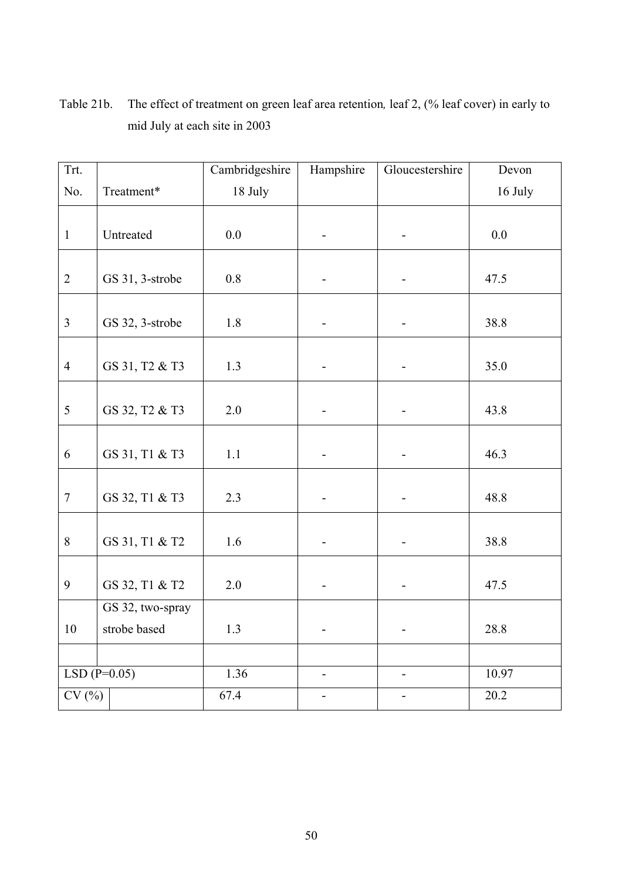| Trt.           |                  | Cambridgeshire | Hampshire      | Gloucestershire              | Devon   |
|----------------|------------------|----------------|----------------|------------------------------|---------|
| No.            | Treatment*       | 18 July        |                |                              | 16 July |
|                |                  |                |                |                              |         |
| $\mathbf{1}$   | Untreated        | 0.0            |                |                              | $0.0\,$ |
|                |                  |                |                |                              |         |
| $\overline{2}$ | GS 31, 3-strobe  | $0.8\,$        |                |                              | 47.5    |
|                |                  |                |                |                              |         |
| $\mathfrak{Z}$ | GS 32, 3-strobe  | 1.8            |                |                              | 38.8    |
|                |                  |                |                |                              |         |
| $\overline{4}$ | GS 31, T2 & T3   | 1.3            |                |                              | 35.0    |
|                |                  |                |                |                              |         |
| 5              | GS 32, T2 & T3   | 2.0            |                |                              | 43.8    |
|                |                  |                |                |                              |         |
| 6              | GS 31, T1 & T3   | 1.1            |                |                              | 46.3    |
|                |                  |                |                |                              |         |
| $\tau$         | GS 32, T1 & T3   | 2.3            |                |                              | 48.8    |
|                |                  |                |                |                              |         |
| 8              | GS 31, T1 & T2   | 1.6            |                |                              | 38.8    |
|                |                  |                |                |                              |         |
| 9              | GS 32, T1 & T2   | $2.0\,$        | -              | $\qquad \qquad \blacksquare$ | 47.5    |
|                | GS 32, two-spray |                |                |                              |         |
| 10             | strobe based     | 1.3            |                |                              | 28.8    |
|                |                  |                |                |                              |         |
|                | $LSD(P=0.05)$    | 1.36           | $\overline{a}$ | $\overline{\phantom{0}}$     | 10.97   |
| CV(%)          |                  | 67.4           | -              | $\overline{\phantom{0}}$     | 20.2    |

Table 21b. The effect of treatment on green leaf area retention*,* leaf 2, (% leaf cover) in early to mid July at each site in 2003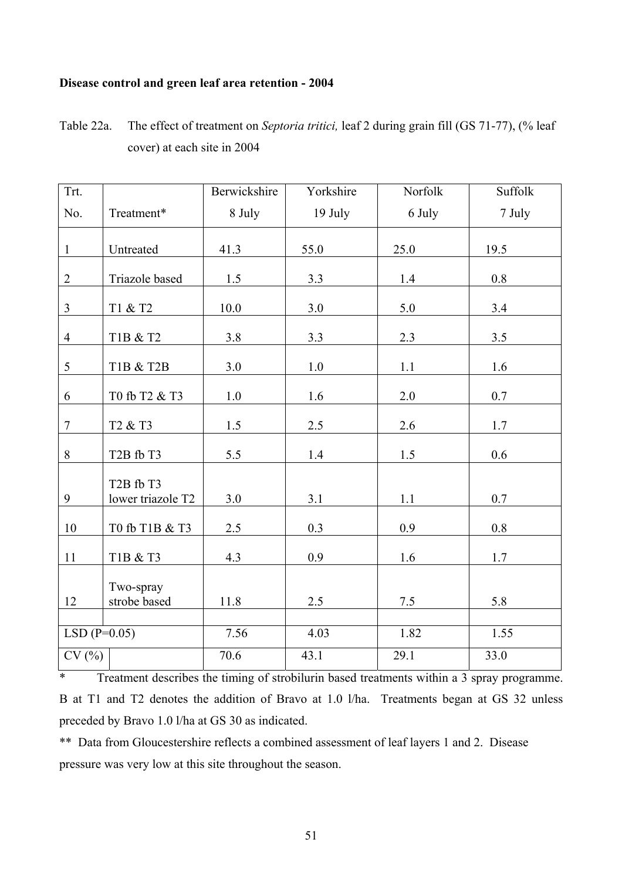## **Disease control and green leaf area retention - 2004**

| Table 22a. | The effect of treatment on <i>Septoria tritici</i> , leaf 2 during grain fill (GS 71-77), (% leaf |
|------------|---------------------------------------------------------------------------------------------------|
|            | cover) at each site in 2004                                                                       |

| $Trt$ .        |                                                         | Berwickshire | Yorkshire | Norfolk | Suffolk |
|----------------|---------------------------------------------------------|--------------|-----------|---------|---------|
| No.            | Treatment*                                              | 8 July       | 19 July   | 6 July  | 7 July  |
| $\mathbf{1}$   | Untreated                                               | 41.3         | 55.0      | 25.0    | 19.5    |
| $\overline{2}$ | Triazole based                                          | 1.5          | 3.3       | 1.4     | 0.8     |
| $\overline{3}$ | T1 & T2                                                 | 10.0         | 3.0       | 5.0     | 3.4     |
| $\overline{4}$ | T1B & T2                                                | 3.8          | 3.3       | 2.3     | $3.5$   |
| 5              | T1B & T2B                                               | 3.0          | 1.0       | 1.1     | 1.6     |
| 6              | T0 fb T2 & T3                                           | $1.0\,$      | 1.6       | 2.0     | 0.7     |
| $\overline{7}$ | T <sub>2</sub> & T <sub>3</sub>                         | 1.5          | 2.5       | 2.6     | 1.7     |
| $8\,$          | T <sub>2</sub> B fb T <sub>3</sub>                      | 5.5          | 1.4       | $1.5\,$ | 0.6     |
| 9              | T <sub>2</sub> B fb T <sub>3</sub><br>lower triazole T2 | 3.0          | 3.1       | 1.1     | 0.7     |
| $10\,$         | T0 fb T1B & T3                                          | 2.5          | 0.3       | 0.9     | 0.8     |
| 11             | T1B & T3                                                | 4.3          | 0.9       | 1.6     | 1.7     |
| 12             | Two-spray<br>strobe based                               | 11.8         | 2.5       | 7.5     | 5.8     |
| $LSD(P=0.05)$  |                                                         | 7.56         | 4.03      | 1.82    | 1.55    |
| CV(%)          |                                                         | 70.6         | 43.1      | 29.1    | 33.0    |

\* Treatment describes the timing of strobilurin based treatments within a 3 spray programme. B at T1 and T2 denotes the addition of Bravo at 1.0 l/ha. Treatments began at GS 32 unless preceded by Bravo 1.0 l/ha at GS 30 as indicated.

\*\* Data from Gloucestershire reflects a combined assessment of leaf layers 1 and 2. Disease pressure was very low at this site throughout the season.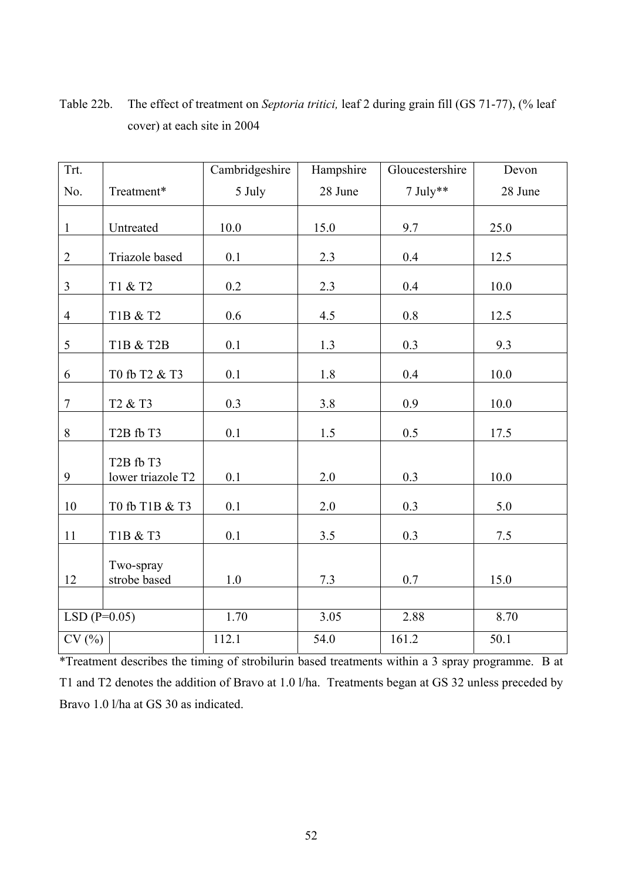| Trt.           |                                                         | Cambridgeshire | Hampshire | Gloucestershire | Devon   |
|----------------|---------------------------------------------------------|----------------|-----------|-----------------|---------|
| No.            | Treatment*                                              | 5 July         | 28 June   | $7$ July**      | 28 June |
| $\mathbf{1}$   | Untreated                                               | 10.0           | 15.0      | 9.7             | 25.0    |
| $\overline{2}$ | Triazole based                                          | $0.1\,$        | 2.3       | 0.4             | 12.5    |
| $\overline{3}$ | T1 & T2                                                 | 0.2            | 2.3       | 0.4             | 10.0    |
| $\overline{4}$ | $T1B~\&~T2$                                             | 0.6            | 4.5       | $0.8\,$         | 12.5    |
| 5              | T1B & T2B                                               | 0.1            | 1.3       | 0.3             | 9.3     |
| 6              | T0 fb T2 & T3                                           | 0.1            | $1.8\,$   | 0.4             | 10.0    |
| $\tau$         | T <sub>2</sub> & T <sub>3</sub>                         | 0.3            | 3.8       | 0.9             | 10.0    |
| $8\,$          | T <sub>2</sub> B fb T <sub>3</sub>                      | 0.1            | 1.5       | 0.5             | 17.5    |
| 9              | T <sub>2</sub> B fb T <sub>3</sub><br>lower triazole T2 | 0.1            | 2.0       | 0.3             | 10.0    |
| 10             | T0 fb T1B & T3                                          | 0.1            | $2.0\,$   | 0.3             | 5.0     |
| 11             | T1B & T3                                                | 0.1            | $3.5$     | 0.3             | $7.5\,$ |
| 12             | Two-spray<br>strobe based                               | $1.0\,$        | $7.3$     | $0.7\,$         | 15.0    |
|                |                                                         |                |           |                 |         |
| $LSD(P=0.05)$  |                                                         | 1.70           | 3.05      | 2.88            | 8.70    |
| CV(%)          |                                                         | 112.1          | 54.0      | 161.2           | 50.1    |

Table 22b. The effect of treatment on *Septoria tritici,* leaf 2 during grain fill (GS 71-77), (% leaf cover) at each site in 2004

\*Treatment describes the timing of strobilurin based treatments within a 3 spray programme. B at T1 and T2 denotes the addition of Bravo at 1.0 l/ha. Treatments began at GS 32 unless preceded by Bravo 1.0 l/ha at GS 30 as indicated.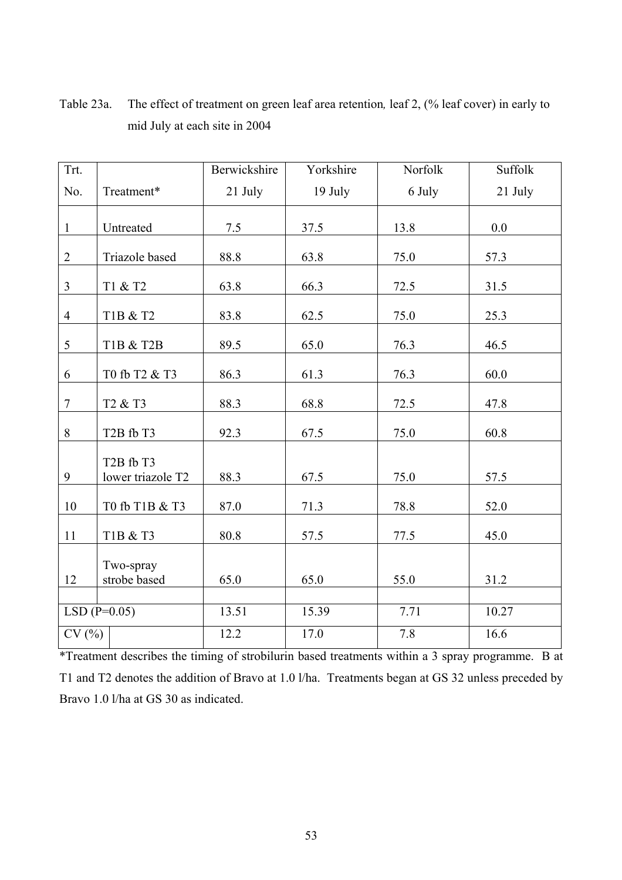| Trt.           |                                                         | Berwickshire | Yorkshire | Norfolk | Suffolk |
|----------------|---------------------------------------------------------|--------------|-----------|---------|---------|
| No.            | Treatment*                                              | 21 July      | 19 July   | 6 July  | 21 July |
| $\mathbf{1}$   | Untreated                                               | 7.5          | 37.5      | 13.8    | 0.0     |
| $\overline{2}$ | Triazole based                                          | 88.8         | 63.8      | 75.0    | 57.3    |
| $\overline{3}$ | T1 & T2                                                 | 63.8         | 66.3      | 72.5    | 31.5    |
| $\overline{4}$ | T1B & T2                                                | 83.8         | 62.5      | 75.0    | 25.3    |
| 5              | T1B & T2B                                               | 89.5         | 65.0      | 76.3    | 46.5    |
| 6              | T0 fb T2 & T3                                           | 86.3         | 61.3      | 76.3    | 60.0    |
| $\tau$         | T <sub>2</sub> & T <sub>3</sub>                         | 88.3         | 68.8      | 72.5    | 47.8    |
| $8\,$          | T <sub>2</sub> B fb T <sub>3</sub>                      | 92.3         | 67.5      | 75.0    | 60.8    |
| 9              | T <sub>2</sub> B fb T <sub>3</sub><br>lower triazole T2 | 88.3         | 67.5      | 75.0    | 57.5    |
| 10             | T0 fb T1B & T3                                          | 87.0         | 71.3      | 78.8    | 52.0    |
| 11             | T1B & T3                                                | 80.8         | 57.5      | 77.5    | 45.0    |
| 12             | Two-spray<br>strobe based                               | 65.0         | 65.0      | 55.0    | 31.2    |
| $LSD(P=0.05)$  |                                                         | 13.51        | 15.39     | 7.71    | 10.27   |
| CV(%)          |                                                         | 12.2         | 17.0      | 7.8     | 16.6    |

Table 23a. The effect of treatment on green leaf area retention*,* leaf 2, (% leaf cover) in early to mid July at each site in 2004

\*Treatment describes the timing of strobilurin based treatments within a 3 spray programme. B at T1 and T2 denotes the addition of Bravo at 1.0 l/ha. Treatments began at GS 32 unless preceded by Bravo 1.0 l/ha at GS 30 as indicated.